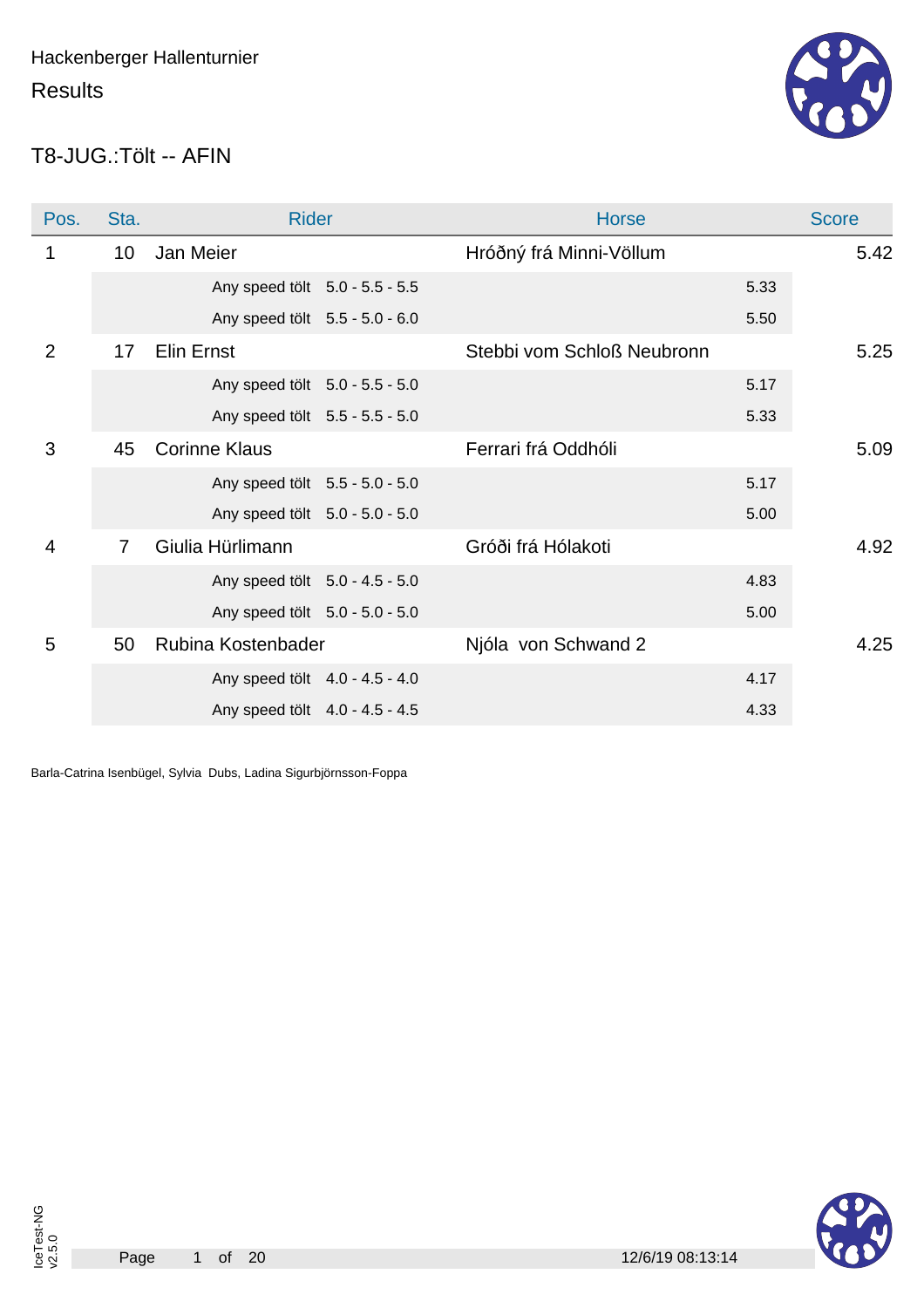## T8-JUG.:Tölt -- AFIN



| Pos. | Sta.           | <b>Rider</b>                   | <b>Horse</b>               |      | <b>Score</b> |
|------|----------------|--------------------------------|----------------------------|------|--------------|
| 1    | 10             | Jan Meier                      | Hróðný frá Minni-Völlum    |      | 5.42         |
|      |                | Any speed tölt 5.0 - 5.5 - 5.5 |                            | 5.33 |              |
|      |                | Any speed tölt 5.5 - 5.0 - 6.0 |                            | 5.50 |              |
| 2    | 17             | Elin Ernst                     | Stebbi vom Schloß Neubronn |      | 5.25         |
|      |                | Any speed tölt 5.0 - 5.5 - 5.0 |                            | 5.17 |              |
|      |                | Any speed tölt 5.5 - 5.5 - 5.0 |                            | 5.33 |              |
| 3    | 45             | <b>Corinne Klaus</b>           | Ferrari frá Oddhóli        |      | 5.09         |
|      |                | Any speed tölt 5.5 - 5.0 - 5.0 |                            | 5.17 |              |
|      |                | Any speed tölt 5.0 - 5.0 - 5.0 |                            | 5.00 |              |
| 4    | $\overline{7}$ | Giulia Hürlimann               | Gróði frá Hólakoti         |      | 4.92         |
|      |                | Any speed tölt 5.0 - 4.5 - 5.0 |                            | 4.83 |              |
|      |                | Any speed tölt 5.0 - 5.0 - 5.0 |                            | 5.00 |              |
| 5    | 50             | Rubina Kostenbader             | Njóla von Schwand 2        |      | 4.25         |
|      |                | Any speed tölt 4.0 - 4.5 - 4.0 |                            | 4.17 |              |
|      |                | Any speed tölt 4.0 - 4.5 - 4.5 |                            | 4.33 |              |

Barla-Catrina Isenbügel, Sylvia Dubs, Ladina Sigurbjörnsson-Foppa

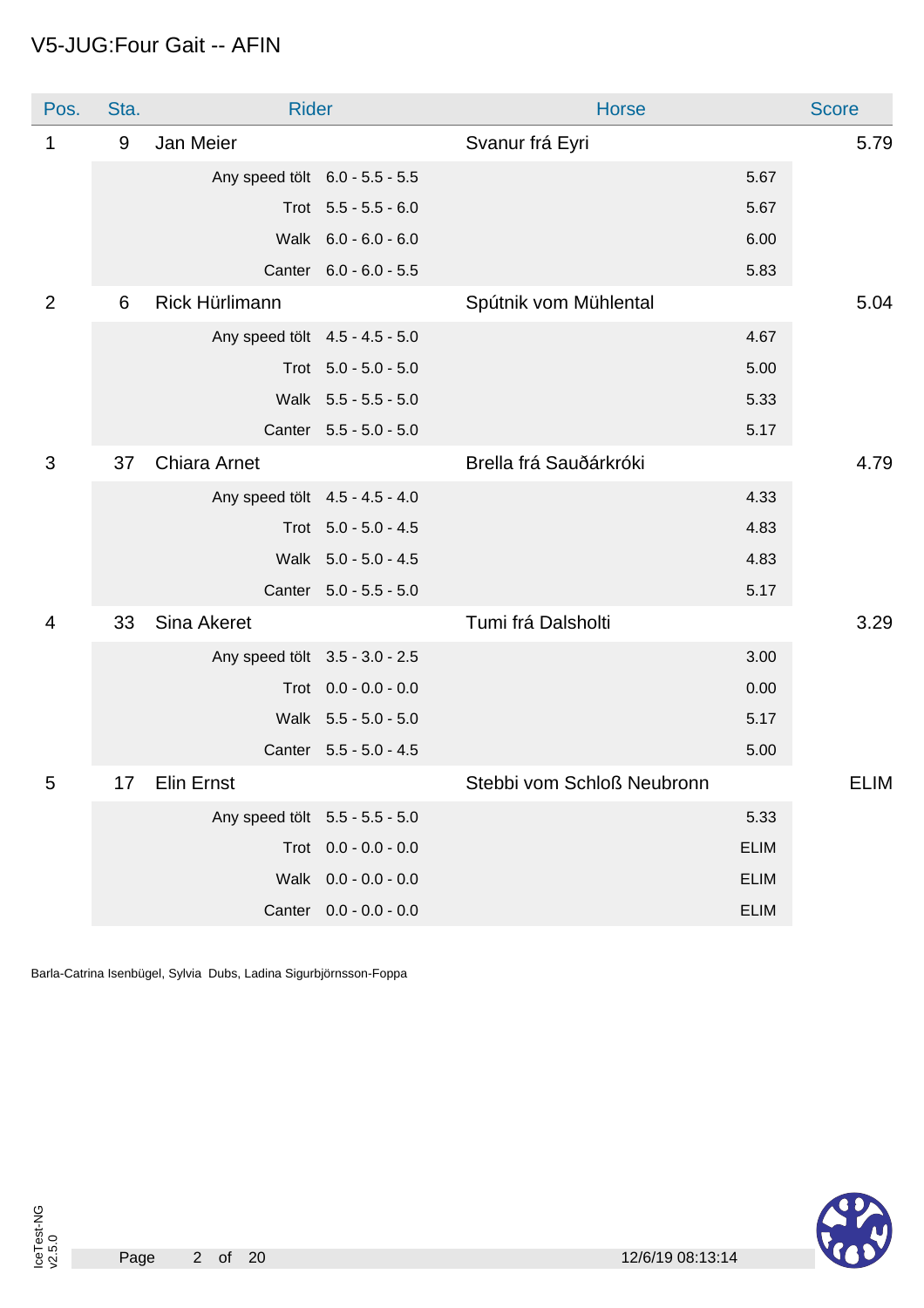### V5-JUG:Four Gait -- AFIN

| Pos.           | Sta.            | <b>Rider</b>                   |                        | <b>Horse</b>               |             | <b>Score</b> |
|----------------|-----------------|--------------------------------|------------------------|----------------------------|-------------|--------------|
| 1              | $9\,$           | Jan Meier                      |                        | Svanur frá Eyri            |             | 5.79         |
|                |                 | Any speed tölt 6.0 - 5.5 - 5.5 |                        |                            | 5.67        |              |
|                |                 |                                | Trot $5.5 - 5.5 - 6.0$ |                            | 5.67        |              |
|                |                 |                                | Walk 6.0 - 6.0 - 6.0   |                            | 6.00        |              |
|                |                 |                                | Canter 6.0 - 6.0 - 5.5 |                            | 5.83        |              |
| $\overline{2}$ | 6               | Rick Hürlimann                 |                        | Spútnik vom Mühlental      |             | 5.04         |
|                |                 | Any speed tölt 4.5 - 4.5 - 5.0 |                        |                            | 4.67        |              |
|                |                 |                                | Trot $5.0 - 5.0 - 5.0$ |                            | 5.00        |              |
|                |                 |                                | Walk 5.5 - 5.5 - 5.0   |                            | 5.33        |              |
|                |                 |                                | Canter 5.5 - 5.0 - 5.0 |                            | 5.17        |              |
| 3              | 37              | <b>Chiara Arnet</b>            |                        | Brella frá Sauðárkróki     |             | 4.79         |
|                |                 | Any speed tölt 4.5 - 4.5 - 4.0 |                        |                            | 4.33        |              |
|                |                 |                                | Trot $5.0 - 5.0 - 4.5$ |                            | 4.83        |              |
|                |                 |                                | Walk 5.0 - 5.0 - 4.5   |                            | 4.83        |              |
|                |                 |                                | Canter 5.0 - 5.5 - 5.0 |                            | 5.17        |              |
| 4              | 33              | Sina Akeret                    |                        | Tumi frá Dalsholti         |             | 3.29         |
|                |                 | Any speed tölt 3.5 - 3.0 - 2.5 |                        |                            | 3.00        |              |
|                |                 |                                | Trot $0.0 - 0.0 - 0.0$ |                            | 0.00        |              |
|                |                 |                                | Walk 5.5 - 5.0 - 5.0   |                            | 5.17        |              |
|                |                 |                                | Canter 5.5 - 5.0 - 4.5 |                            | 5.00        |              |
| 5              | 17 <sup>2</sup> | Elin Ernst                     |                        | Stebbi vom Schloß Neubronn |             | ELIM         |
|                |                 | Any speed tölt 5.5 - 5.5 - 5.0 |                        |                            | 5.33        |              |
|                |                 |                                | Trot 0.0 - 0.0 - 0.0   |                            | <b>ELIM</b> |              |
|                |                 |                                | Walk 0.0 - 0.0 - 0.0   |                            | <b>ELIM</b> |              |
|                |                 |                                | Canter 0.0 - 0.0 - 0.0 |                            | <b>ELIM</b> |              |

Barla-Catrina Isenbügel, Sylvia Dubs, Ladina Sigurbjörnsson-Foppa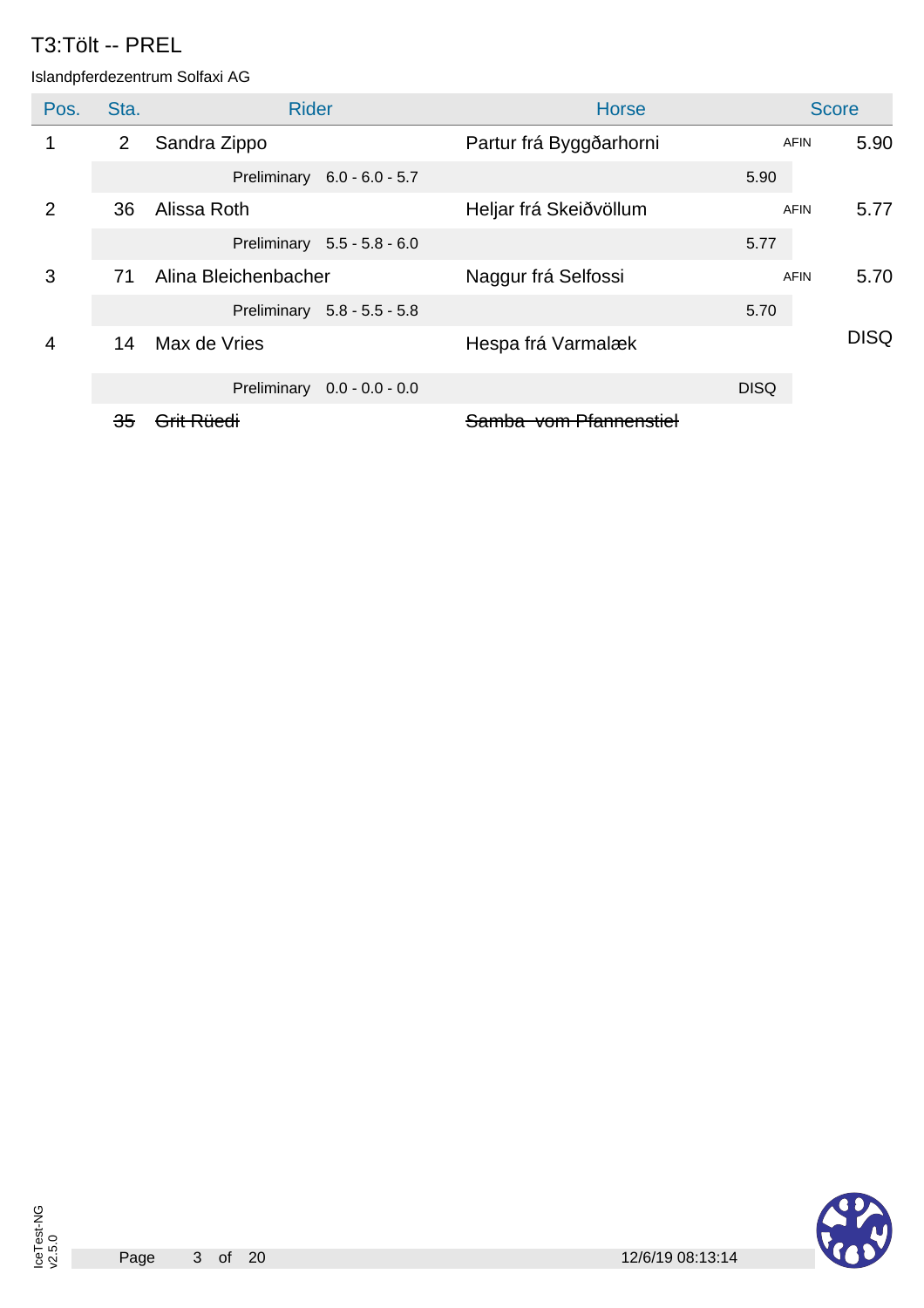### T3:Tölt -- PREL

Islandpferdezentrum Solfaxi AG

| Pos. | Sta.           | <b>Rider</b>                |                   | <b>Horse</b>                |             | <b>Score</b> |             |
|------|----------------|-----------------------------|-------------------|-----------------------------|-------------|--------------|-------------|
|      | $\overline{2}$ | Sandra Zippo                |                   | Partur frá Byggðarhorni     |             | <b>AFIN</b>  | 5.90        |
|      |                | Preliminary                 | $6.0 - 6.0 - 5.7$ |                             | 5.90        |              |             |
| 2    | 36             | Alissa Roth                 |                   | Heljar frá Skeiðvöllum      |             | <b>AFIN</b>  | 5.77        |
|      |                | Preliminary 5.5 - 5.8 - 6.0 |                   |                             | 5.77        |              |             |
| 3    | 71             | Alina Bleichenbacher        |                   | Naggur frá Selfossi         |             | <b>AFIN</b>  | 5.70        |
|      |                | Preliminary 5.8 - 5.5 - 5.8 |                   |                             | 5.70        |              |             |
| 4    | 14             | Max de Vries                |                   | Hespa frá Varmalæk          |             |              | <b>DISQ</b> |
|      |                | Preliminary                 | $0.0 - 0.0 - 0.0$ |                             | <b>DISQ</b> |              |             |
|      | 35             |                             |                   | <del>vom Pfannenstiel</del> |             |              |             |

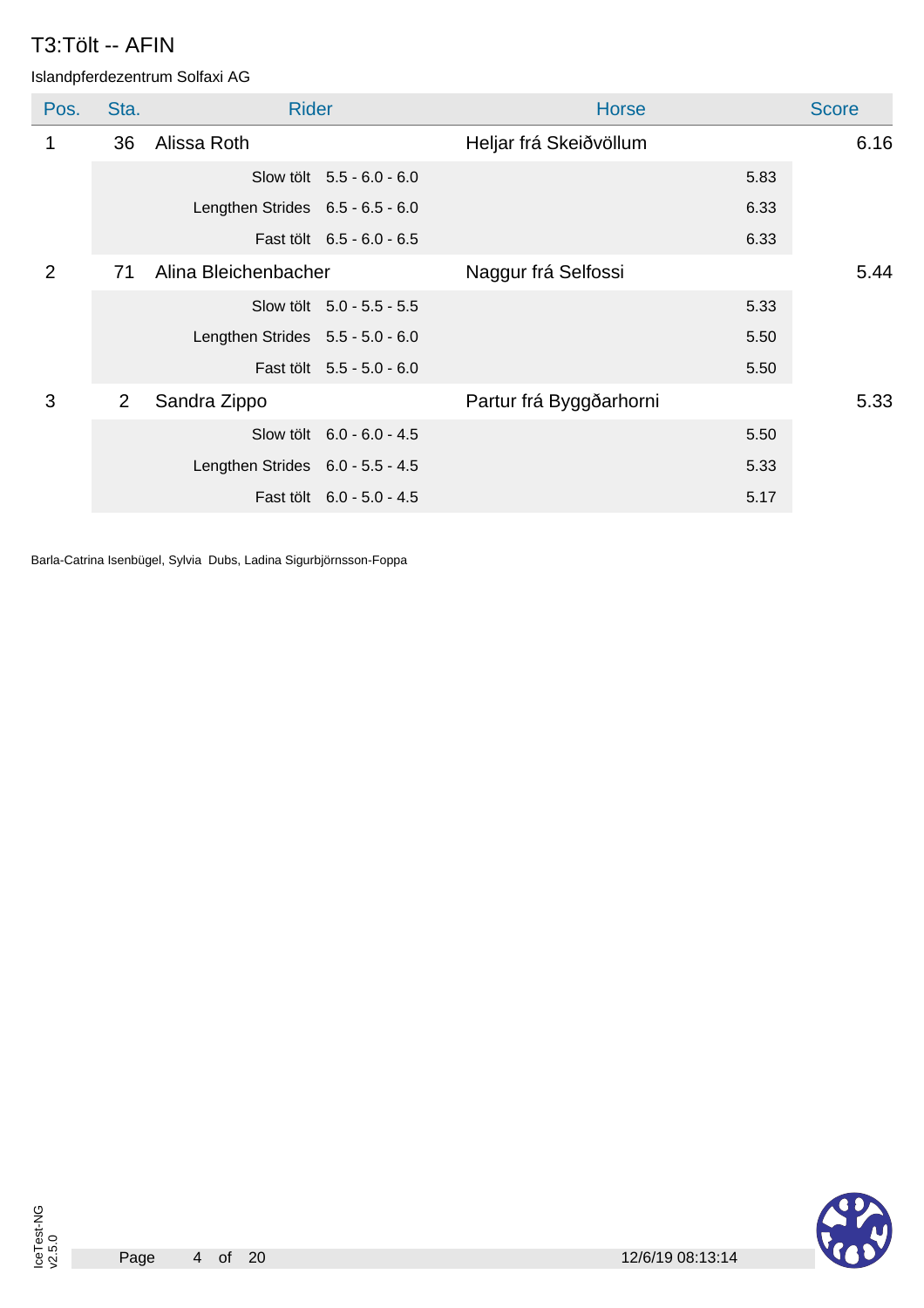### T3:Tölt -- AFIN

Islandpferdezentrum Solfaxi AG

| Pos. | Sta.           | <b>Rider</b>                     |                           | <b>Horse</b>            |      | <b>Score</b> |
|------|----------------|----------------------------------|---------------------------|-------------------------|------|--------------|
| 1    | 36             | Alissa Roth                      |                           | Heljar frá Skeiðvöllum  |      | 6.16         |
|      |                |                                  | Slow tölt 5.5 - 6.0 - 6.0 |                         | 5.83 |              |
|      |                | Lengthen Strides 6.5 - 6.5 - 6.0 |                           |                         | 6.33 |              |
|      |                |                                  | Fast tölt 6.5 - 6.0 - 6.5 |                         | 6.33 |              |
| 2    | 71             | Alina Bleichenbacher             |                           | Naggur frá Selfossi     |      | 5.44         |
|      |                |                                  | Slow tölt 5.0 - 5.5 - 5.5 |                         | 5.33 |              |
|      |                | Lengthen Strides 5.5 - 5.0 - 6.0 |                           |                         | 5.50 |              |
|      |                |                                  | Fast tölt 5.5 - 5.0 - 6.0 |                         | 5.50 |              |
| 3    | $\overline{2}$ | Sandra Zippo                     |                           | Partur frá Byggðarhorni |      | 5.33         |
|      |                |                                  | Slow tölt 6.0 - 6.0 - 4.5 |                         | 5.50 |              |
|      |                | Lengthen Strides 6.0 - 5.5 - 4.5 |                           |                         | 5.33 |              |
|      |                |                                  | Fast tölt 6.0 - 5.0 - 4.5 |                         | 5.17 |              |

Barla-Catrina Isenbügel, Sylvia Dubs, Ladina Sigurbjörnsson-Foppa

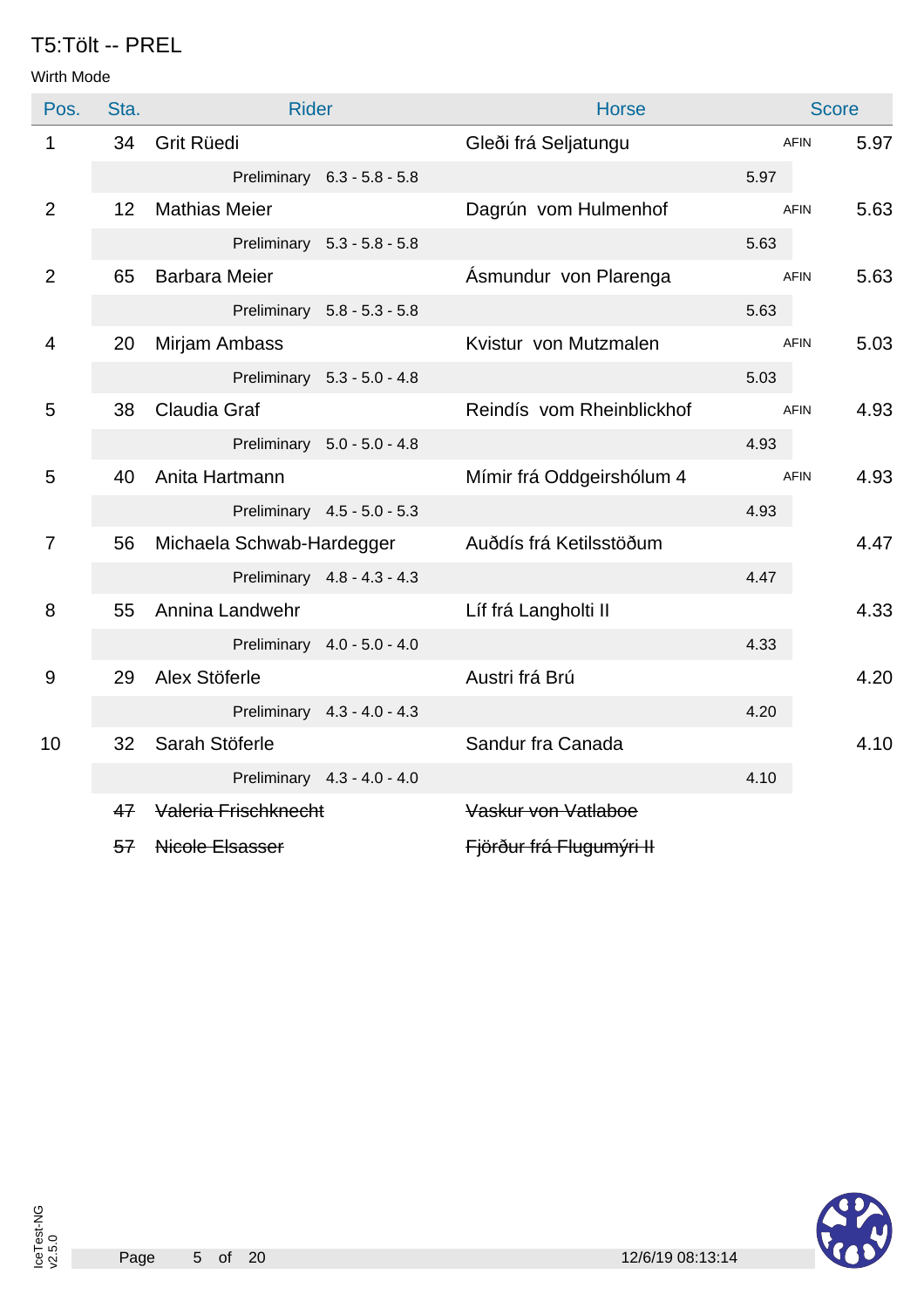### T5:Tölt -- PREL

### Wirth Mode

| Pos.           | Sta.            | <b>Rider</b>                | <b>Horse</b>              | <b>Score</b> |      |
|----------------|-----------------|-----------------------------|---------------------------|--------------|------|
| 1              | 34              | Grit Rüedi                  | Gleði frá Seljatungu      | <b>AFIN</b>  | 5.97 |
|                |                 | Preliminary 6.3 - 5.8 - 5.8 |                           | 5.97         |      |
| $\overline{2}$ | 12 <sup>2</sup> | <b>Mathias Meier</b>        | Dagrún vom Hulmenhof      | <b>AFIN</b>  | 5.63 |
|                |                 | Preliminary 5.3 - 5.8 - 5.8 |                           | 5.63         |      |
| $\overline{2}$ | 65              | <b>Barbara Meier</b>        | Ásmundur von Plarenga     | <b>AFIN</b>  | 5.63 |
|                |                 | Preliminary 5.8 - 5.3 - 5.8 |                           | 5.63         |      |
| 4              | 20              | Mirjam Ambass               | Kvistur von Mutzmalen     | <b>AFIN</b>  | 5.03 |
|                |                 | Preliminary 5.3 - 5.0 - 4.8 |                           | 5.03         |      |
| 5              | 38              | Claudia Graf                | Reindís vom Rheinblickhof | <b>AFIN</b>  | 4.93 |
|                |                 | Preliminary 5.0 - 5.0 - 4.8 |                           | 4.93         |      |
| 5              | 40              | Anita Hartmann              | Mímir frá Oddgeirshólum 4 | <b>AFIN</b>  | 4.93 |
|                |                 | Preliminary 4.5 - 5.0 - 5.3 |                           | 4.93         |      |
| $\overline{7}$ | 56              | Michaela Schwab-Hardegger   | Auðdís frá Ketilsstöðum   |              | 4.47 |
|                |                 | Preliminary 4.8 - 4.3 - 4.3 |                           | 4.47         |      |
| 8              | 55              | Annina Landwehr             | Líf frá Langholti II      |              | 4.33 |
|                |                 | Preliminary 4.0 - 5.0 - 4.0 |                           | 4.33         |      |
| $9$            | 29              | Alex Stöferle               | Austri frá Brú            |              | 4.20 |
|                |                 | Preliminary 4.3 - 4.0 - 4.3 |                           | 4.20         |      |
| 10             | 32              | Sarah Stöferle              | Sandur fra Canada         |              | 4.10 |
|                |                 | Preliminary 4.3 - 4.0 - 4.0 |                           | 4.10         |      |
|                | 47              | <b>Valeria Frischknecht</b> | Vaskur von Vatlaboe       |              |      |
|                | 57              | Nicole Elsasser             | Fjörður frá Flugumýri II  |              |      |

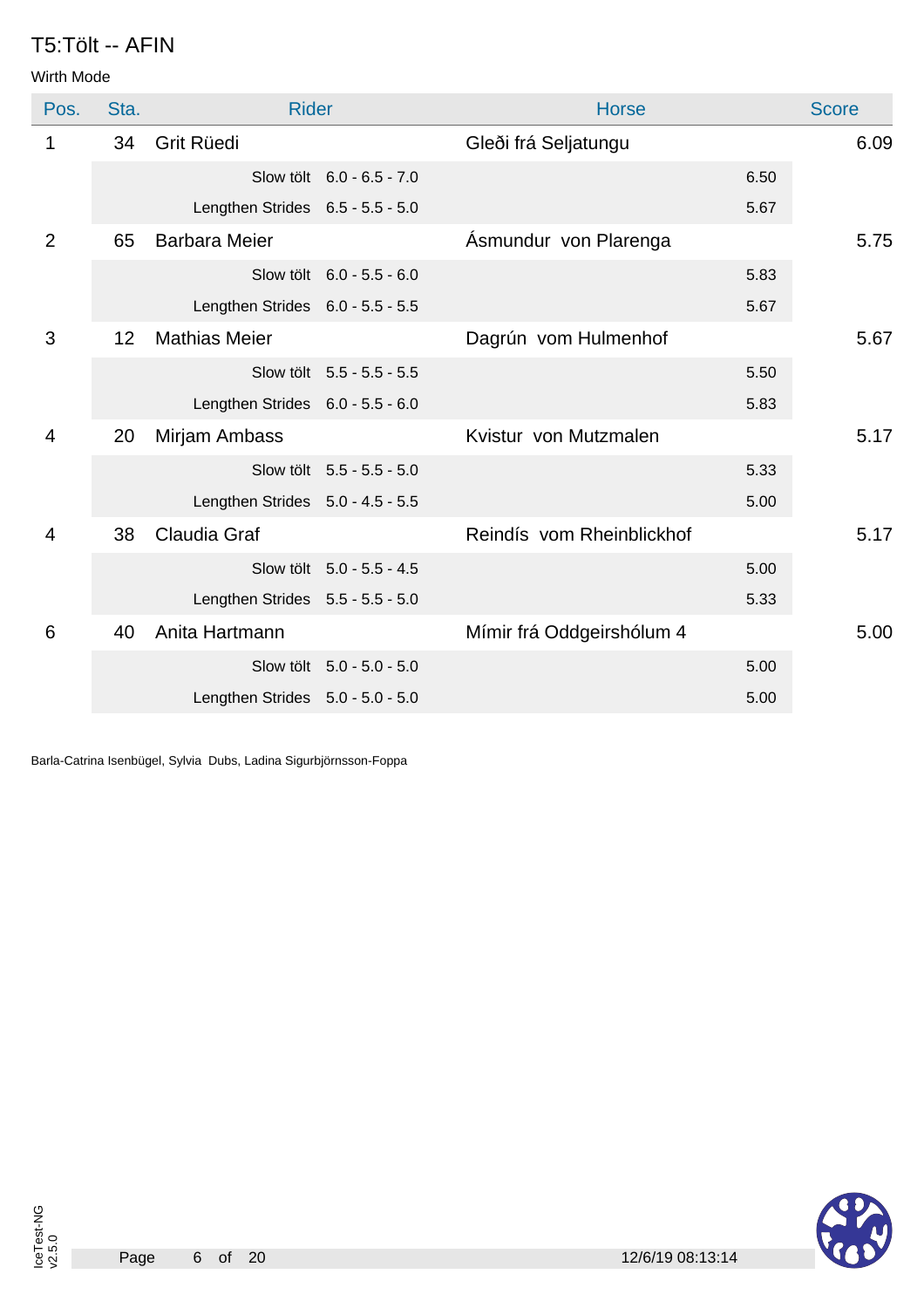## T5:Tölt -- AFIN

#### Wirth Mode

| Pos.           | Sta. | <b>Rider</b>                     |                           | <b>Horse</b>              |      | <b>Score</b> |
|----------------|------|----------------------------------|---------------------------|---------------------------|------|--------------|
| 1              | 34   | Grit Rüedi                       |                           | Gleði frá Seljatungu      |      | 6.09         |
|                |      |                                  | Slow tölt 6.0 - 6.5 - 7.0 |                           | 6.50 |              |
|                |      | Lengthen Strides 6.5 - 5.5 - 5.0 |                           |                           | 5.67 |              |
| $\overline{2}$ | 65   | <b>Barbara Meier</b>             |                           | Asmundur von Plarenga     |      | 5.75         |
|                |      |                                  | Slow tölt 6.0 - 5.5 - 6.0 |                           | 5.83 |              |
|                |      | Lengthen Strides 6.0 - 5.5 - 5.5 |                           |                           | 5.67 |              |
| 3              | 12   | <b>Mathias Meier</b>             |                           | Dagrún vom Hulmenhof      |      | 5.67         |
|                |      |                                  | Slow tölt 5.5 - 5.5 - 5.5 |                           | 5.50 |              |
|                |      | Lengthen Strides 6.0 - 5.5 - 6.0 |                           |                           | 5.83 |              |
| $\overline{4}$ | 20   | Mirjam Ambass                    |                           | Kvistur von Mutzmalen     |      | 5.17         |
|                |      |                                  | Slow tölt 5.5 - 5.5 - 5.0 |                           | 5.33 |              |
|                |      | Lengthen Strides 5.0 - 4.5 - 5.5 |                           |                           | 5.00 |              |
| 4              | 38   | Claudia Graf                     |                           | Reindís vom Rheinblickhof |      | 5.17         |
|                |      |                                  | Slow tölt 5.0 - 5.5 - 4.5 |                           | 5.00 |              |
|                |      | Lengthen Strides 5.5 - 5.5 - 5.0 |                           |                           | 5.33 |              |
| 6              | 40   | Anita Hartmann                   |                           | Mímir frá Oddgeirshólum 4 |      | 5.00         |
|                |      |                                  | Slow tölt 5.0 - 5.0 - 5.0 |                           | 5.00 |              |
|                |      | Lengthen Strides 5.0 - 5.0 - 5.0 |                           |                           | 5.00 |              |

Barla-Catrina Isenbügel, Sylvia Dubs, Ladina Sigurbjörnsson-Foppa

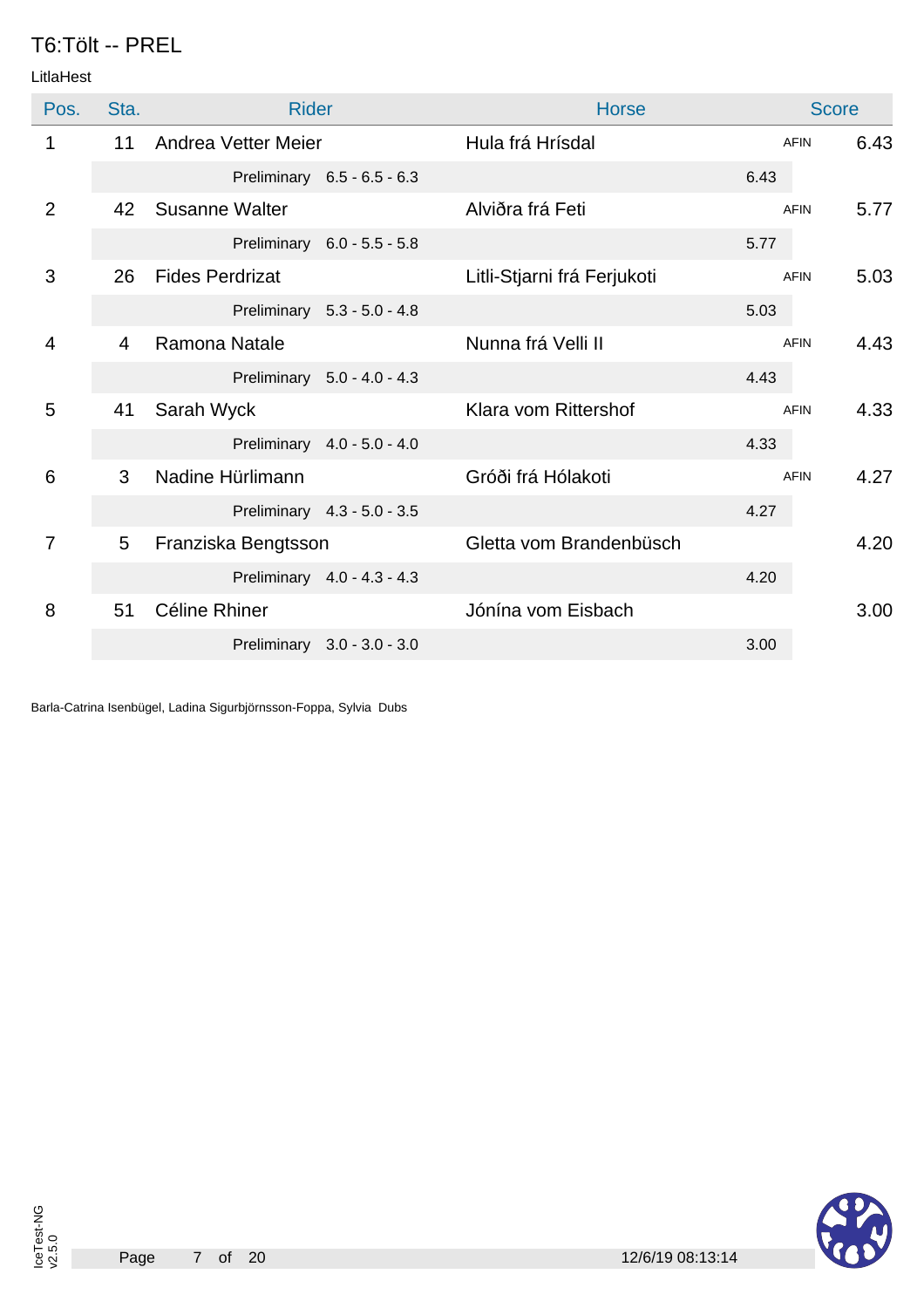### T6:Tölt -- PREL

LitlaHest

| Pos.           | Sta.           | <b>Rider</b>                | <b>Horse</b>                |             | <b>Score</b> |
|----------------|----------------|-----------------------------|-----------------------------|-------------|--------------|
| 1              | 11             | Andrea Vetter Meier         | Hula frá Hrísdal            | <b>AFIN</b> | 6.43         |
|                |                | Preliminary 6.5 - 6.5 - 6.3 |                             | 6.43        |              |
| $\overline{2}$ | 42             | Susanne Walter              | Alviðra frá Feti            | <b>AFIN</b> | 5.77         |
|                |                | Preliminary 6.0 - 5.5 - 5.8 |                             | 5.77        |              |
| 3              | 26             | <b>Fides Perdrizat</b>      | Litli-Stjarni frá Ferjukoti | <b>AFIN</b> | 5.03         |
|                |                | Preliminary 5.3 - 5.0 - 4.8 |                             | 5.03        |              |
| $\overline{4}$ | $\overline{4}$ | Ramona Natale               | Nunna frá Velli II          | <b>AFIN</b> | 4.43         |
|                |                | Preliminary 5.0 - 4.0 - 4.3 |                             | 4.43        |              |
| 5              | 41             | Sarah Wyck                  | Klara vom Rittershof        | <b>AFIN</b> | 4.33         |
|                |                | Preliminary 4.0 - 5.0 - 4.0 |                             | 4.33        |              |
| 6              | 3              | Nadine Hürlimann            | Gróði frá Hólakoti          | <b>AFIN</b> | 4.27         |
|                |                | Preliminary 4.3 - 5.0 - 3.5 |                             | 4.27        |              |
| $\overline{7}$ | 5              | Franziska Bengtsson         | Gletta vom Brandenbüsch     |             | 4.20         |
|                |                | Preliminary 4.0 - 4.3 - 4.3 |                             | 4.20        |              |
| 8              | 51             | Céline Rhiner               | Jónína vom Eisbach          |             | 3.00         |
|                |                | Preliminary 3.0 - 3.0 - 3.0 |                             | 3.00        |              |

Barla-Catrina Isenbügel, Ladina Sigurbjörnsson-Foppa, Sylvia Dubs

Page

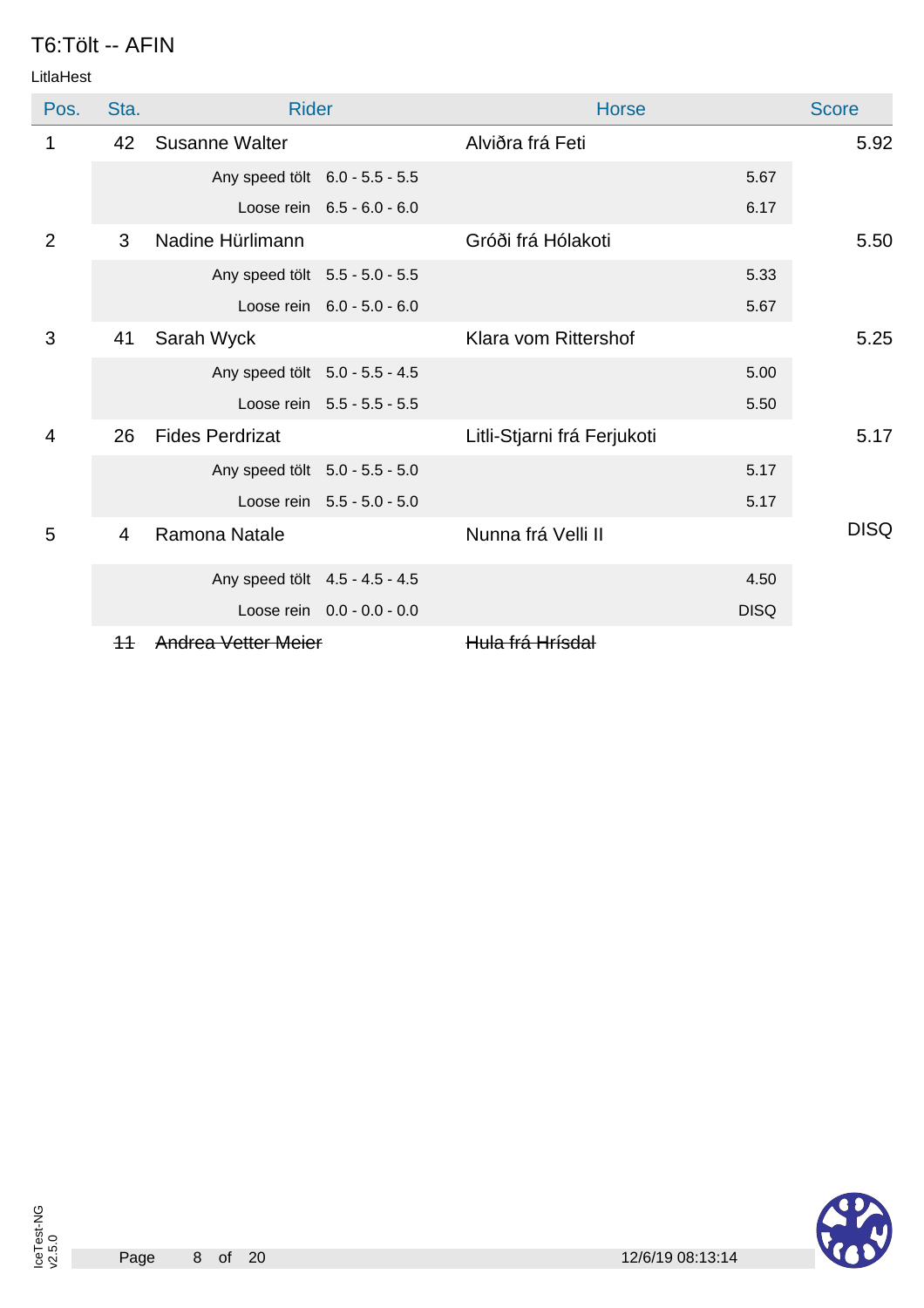## T6:Tölt -- AFIN

#### LitlaHest

| Pos.           | Sta.           | <b>Rider</b>                   |                            | <b>Horse</b>                |             | <b>Score</b> |
|----------------|----------------|--------------------------------|----------------------------|-----------------------------|-------------|--------------|
| 1              | 42             | <b>Susanne Walter</b>          |                            | Alviðra frá Feti            |             | 5.92         |
|                |                | Any speed tölt 6.0 - 5.5 - 5.5 |                            |                             | 5.67        |              |
|                |                |                                | Loose rein 6.5 - 6.0 - 6.0 |                             | 6.17        |              |
| $\overline{2}$ | 3              | Nadine Hürlimann               |                            | Gróði frá Hólakoti          |             | 5.50         |
|                |                | Any speed tölt 5.5 - 5.0 - 5.5 |                            |                             | 5.33        |              |
|                |                |                                | Loose rein 6.0 - 5.0 - 6.0 |                             | 5.67        |              |
| 3              | 41             | Sarah Wyck                     |                            | Klara vom Rittershof        |             | 5.25         |
|                |                | Any speed tölt 5.0 - 5.5 - 4.5 |                            |                             | 5.00        |              |
|                |                |                                | Loose rein 5.5 - 5.5 - 5.5 |                             | 5.50        |              |
| 4              | 26             | <b>Fides Perdrizat</b>         |                            | Litli-Stjarni frá Ferjukoti |             | 5.17         |
|                |                | Any speed tölt 5.0 - 5.5 - 5.0 |                            |                             | 5.17        |              |
|                |                |                                | Loose rein 5.5 - 5.0 - 5.0 |                             | 5.17        |              |
| 5              | $\overline{4}$ | Ramona Natale                  |                            | Nunna frá Velli II          |             | <b>DISQ</b>  |
|                |                | Any speed tölt 4.5 - 4.5 - 4.5 |                            |                             | 4.50        |              |
|                |                |                                | Loose rein 0.0 - 0.0 - 0.0 |                             | <b>DISQ</b> |              |
|                | $+4$           | <b>Andrea Vetter Meier</b>     |                            | Hula frá Hrísdal            |             |              |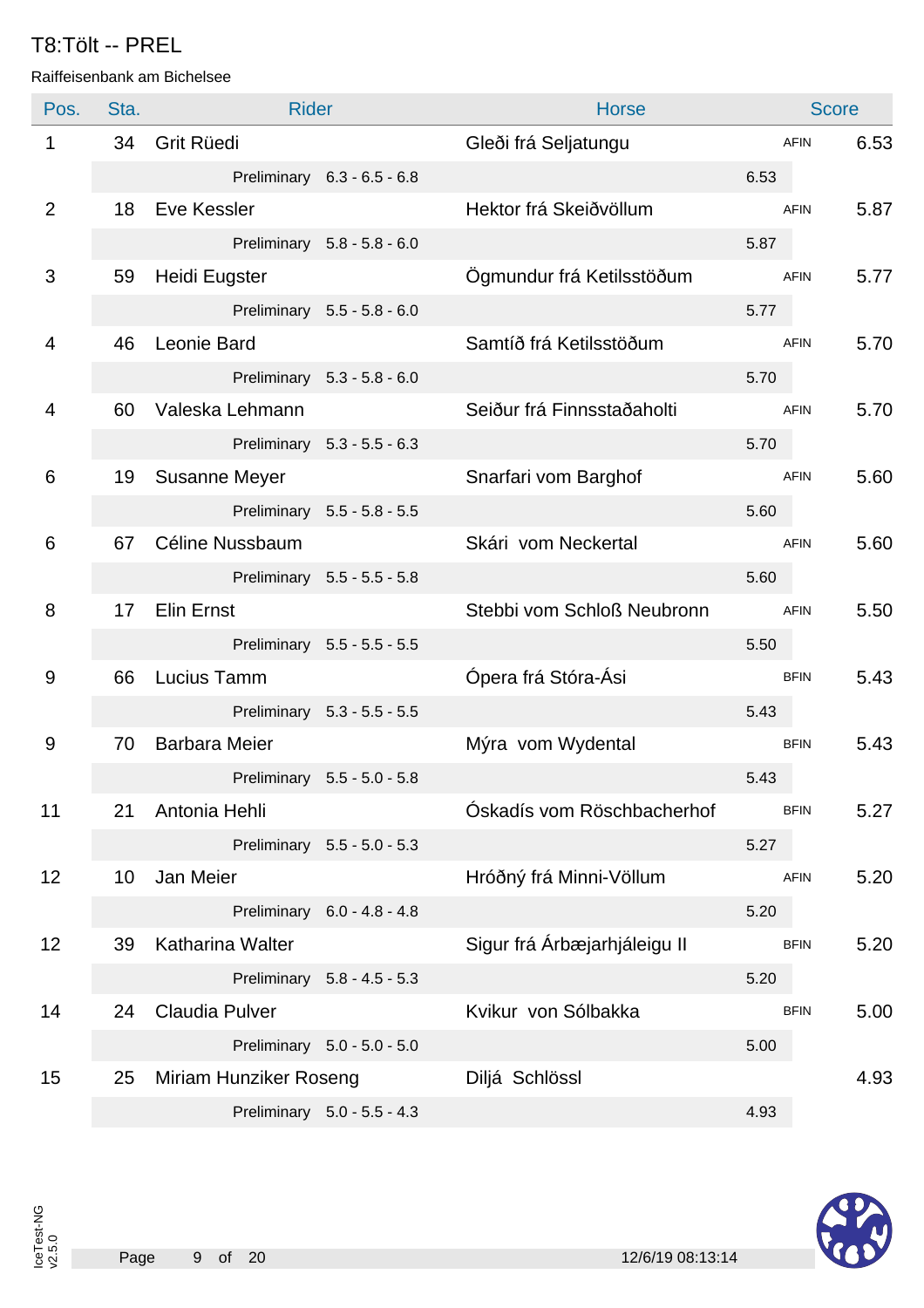### T8:Tölt -- PREL

#### Raiffeisenbank am Bichelsee

| Pos.           | Sta. | <b>Rider</b>            |                             | <b>Horse</b>                 |      | <b>Score</b> |      |
|----------------|------|-------------------------|-----------------------------|------------------------------|------|--------------|------|
| 1              | 34   | <b>Grit Rüedi</b>       |                             | Gleði frá Seljatungu         |      | <b>AFIN</b>  | 6.53 |
|                |      |                         | Preliminary 6.3 - 6.5 - 6.8 |                              | 6.53 |              |      |
| $\overline{2}$ | 18   | Eve Kessler             |                             | Hektor frá Skeiðvöllum       |      | <b>AFIN</b>  | 5.87 |
|                |      |                         | Preliminary 5.8 - 5.8 - 6.0 |                              | 5.87 |              |      |
| 3              | 59   | <b>Heidi Eugster</b>    |                             | Ögmundur frá Ketilsstöðum    |      | <b>AFIN</b>  | 5.77 |
|                |      |                         | Preliminary 5.5 - 5.8 - 6.0 |                              | 5.77 |              |      |
| 4              | 46   | Leonie Bard             |                             | Samtíð frá Ketilsstöðum      |      | <b>AFIN</b>  | 5.70 |
|                |      |                         | Preliminary 5.3 - 5.8 - 6.0 |                              | 5.70 |              |      |
| 4              | 60   | Valeska Lehmann         |                             | Seiður frá Finnsstaðaholti   |      | <b>AFIN</b>  | 5.70 |
|                |      |                         | Preliminary 5.3 - 5.5 - 6.3 |                              | 5.70 |              |      |
| 6              | 19   | <b>Susanne Meyer</b>    |                             | Snarfari vom Barghof         |      | <b>AFIN</b>  | 5.60 |
|                |      |                         | Preliminary 5.5 - 5.8 - 5.5 |                              | 5.60 |              |      |
| 6              | 67   | Céline Nussbaum         |                             | Skári vom Neckertal          |      | <b>AFIN</b>  | 5.60 |
|                |      |                         | Preliminary 5.5 - 5.5 - 5.8 |                              | 5.60 |              |      |
| 8              | 17   | <b>Elin Ernst</b>       |                             | Stebbi vom Schloß Neubronn   |      | <b>AFIN</b>  | 5.50 |
|                |      |                         | Preliminary 5.5 - 5.5 - 5.5 |                              | 5.50 |              |      |
| 9              | 66   | Lucius Tamm             |                             | Ópera frá Stóra-Ási          |      | <b>BFIN</b>  | 5.43 |
|                |      |                         | Preliminary 5.3 - 5.5 - 5.5 |                              | 5.43 |              |      |
| 9              | 70   | <b>Barbara Meier</b>    |                             | Mýra vom Wydental            |      | <b>BFIN</b>  | 5.43 |
|                |      |                         | Preliminary 5.5 - 5.0 - 5.8 |                              | 5.43 |              |      |
| 11             | 21   | Antonia Hehli           |                             | Óskadís vom Röschbacherhof   |      | <b>BFIN</b>  | 5.27 |
|                |      |                         | Preliminary 5.5 - 5.0 - 5.3 |                              | 5.27 |              |      |
| 12             | 10   | Jan Meier               |                             | Hróðný frá Minni-Völlum      |      | <b>AFIN</b>  | 5.20 |
|                |      |                         | Preliminary 6.0 - 4.8 - 4.8 |                              | 5.20 |              |      |
| 12             | 39   | <b>Katharina Walter</b> |                             | Sigur frá Árbæjarhjáleigu II |      | <b>BFIN</b>  | 5.20 |
|                |      |                         | Preliminary 5.8 - 4.5 - 5.3 |                              | 5.20 |              |      |
| 14             | 24   | <b>Claudia Pulver</b>   |                             | Kvikur von Sólbakka          |      | <b>BFIN</b>  | 5.00 |
|                |      |                         | Preliminary 5.0 - 5.0 - 5.0 |                              | 5.00 |              |      |
| 15             | 25   | Miriam Hunziker Roseng  |                             | Diljá Schlössl               |      |              | 4.93 |
|                |      |                         | Preliminary 5.0 - 5.5 - 4.3 |                              | 4.93 |              |      |

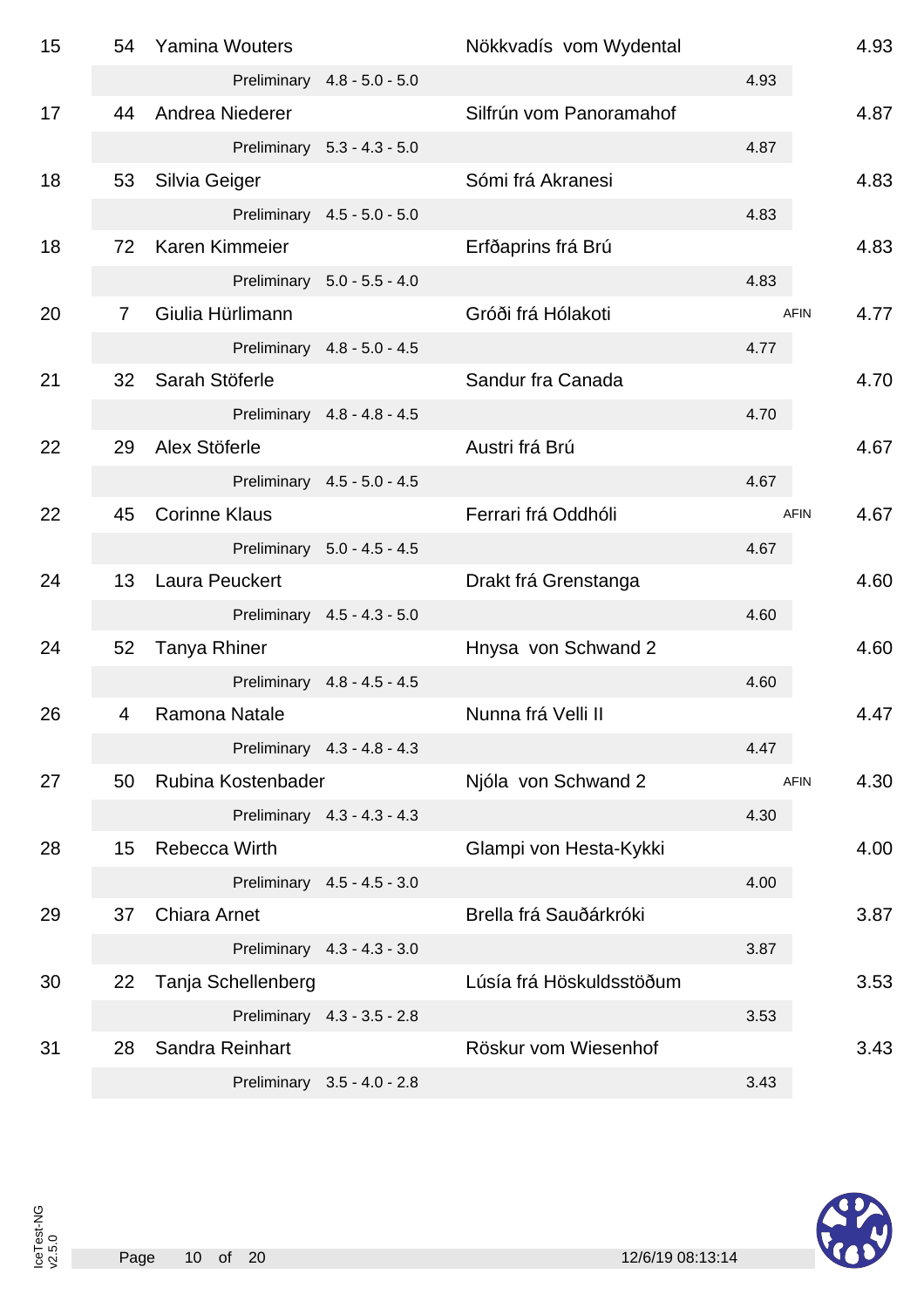| 15 | 54             | <b>Yamina Wouters</b> |                             | Nökkvadís vom Wydental   |      |             | 4.93 |
|----|----------------|-----------------------|-----------------------------|--------------------------|------|-------------|------|
|    |                |                       | Preliminary 4.8 - 5.0 - 5.0 |                          | 4.93 |             |      |
| 17 | 44             | Andrea Niederer       |                             | Silfrún vom Panoramahof  |      |             | 4.87 |
|    |                |                       | Preliminary 5.3 - 4.3 - 5.0 |                          | 4.87 |             |      |
| 18 | 53             | Silvia Geiger         |                             | Sómi frá Akranesi        |      |             | 4.83 |
|    |                |                       | Preliminary 4.5 - 5.0 - 5.0 |                          | 4.83 |             |      |
| 18 | 72             | Karen Kimmeier        |                             | Erfðaprins frá Brú       |      |             | 4.83 |
|    |                |                       | Preliminary 5.0 - 5.5 - 4.0 |                          | 4.83 |             |      |
| 20 | $\overline{7}$ | Giulia Hürlimann      |                             | Gróði frá Hólakoti       |      | <b>AFIN</b> | 4.77 |
|    |                |                       | Preliminary 4.8 - 5.0 - 4.5 |                          | 4.77 |             |      |
| 21 | 32             | Sarah Stöferle        |                             | Sandur fra Canada        |      |             | 4.70 |
|    |                |                       | Preliminary 4.8 - 4.8 - 4.5 |                          | 4.70 |             |      |
| 22 | 29             | Alex Stöferle         |                             | Austri frá Brú           |      |             | 4.67 |
|    |                |                       | Preliminary 4.5 - 5.0 - 4.5 |                          | 4.67 |             |      |
| 22 | 45             | <b>Corinne Klaus</b>  |                             | Ferrari frá Oddhóli      |      | <b>AFIN</b> | 4.67 |
|    |                |                       | Preliminary 5.0 - 4.5 - 4.5 |                          | 4.67 |             |      |
| 24 | 13             | Laura Peuckert        |                             | Drakt frá Grenstanga     |      |             | 4.60 |
|    |                |                       | Preliminary 4.5 - 4.3 - 5.0 |                          | 4.60 |             |      |
| 24 | 52             | <b>Tanya Rhiner</b>   |                             | Hnysa von Schwand 2      |      |             | 4.60 |
|    |                |                       | Preliminary 4.8 - 4.5 - 4.5 |                          | 4.60 |             |      |
| 26 | 4              | Ramona Natale         |                             | Nunna frá Velli II       |      |             | 4.47 |
|    |                |                       | Preliminary 4.3 - 4.8 - 4.3 |                          | 4.47 |             |      |
| 27 | 50             | Rubina Kostenbader    |                             | Njóla von Schwand 2      |      | <b>AFIN</b> | 4.30 |
|    |                |                       | Preliminary 4.3 - 4.3 - 4.3 |                          | 4.30 |             |      |
| 28 | 15             | <b>Rebecca Wirth</b>  |                             | Glampi von Hesta-Kykki   |      |             | 4.00 |
|    |                |                       | Preliminary 4.5 - 4.5 - 3.0 |                          | 4.00 |             |      |
| 29 | 37             | <b>Chiara Arnet</b>   |                             | Brella frá Sauðárkróki   |      |             | 3.87 |
|    |                |                       | Preliminary 4.3 - 4.3 - 3.0 |                          | 3.87 |             |      |
| 30 | 22             | Tanja Schellenberg    |                             | Lúsía frá Höskuldsstöðum |      |             | 3.53 |
|    |                |                       | Preliminary 4.3 - 3.5 - 2.8 |                          | 3.53 |             |      |
| 31 | 28             | Sandra Reinhart       |                             | Röskur vom Wiesenhof     |      |             | 3.43 |
|    |                |                       | Preliminary 3.5 - 4.0 - 2.8 |                          | 3.43 |             |      |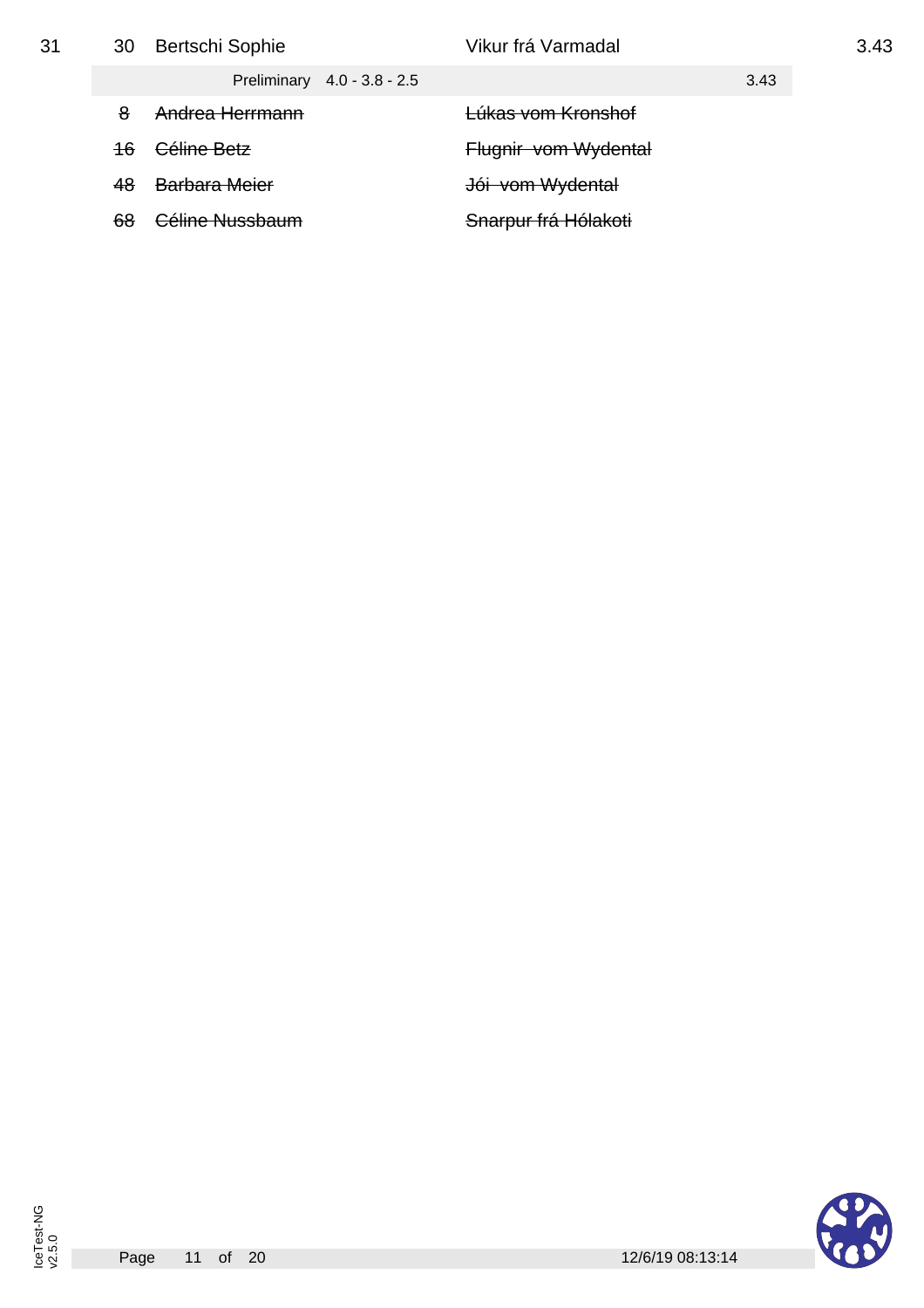| 31 |     | 30 Bertschi Sophie          | Vikur frá Varmadal   |      | 3.43 |
|----|-----|-----------------------------|----------------------|------|------|
|    |     | Preliminary 4.0 - 3.8 - 2.5 |                      | 3.43 |      |
|    | 8   | Andrea Herrmann             | Lúkas vom Kronshof   |      |      |
|    | 46. | Céline Betz                 | Flugnir vom Wydental |      |      |
|    | 48  | Barbara Meier               | Jói vom Wydental     |      |      |
|    |     | Céline Nussbaum             | Snarpur frá Hólakoti |      |      |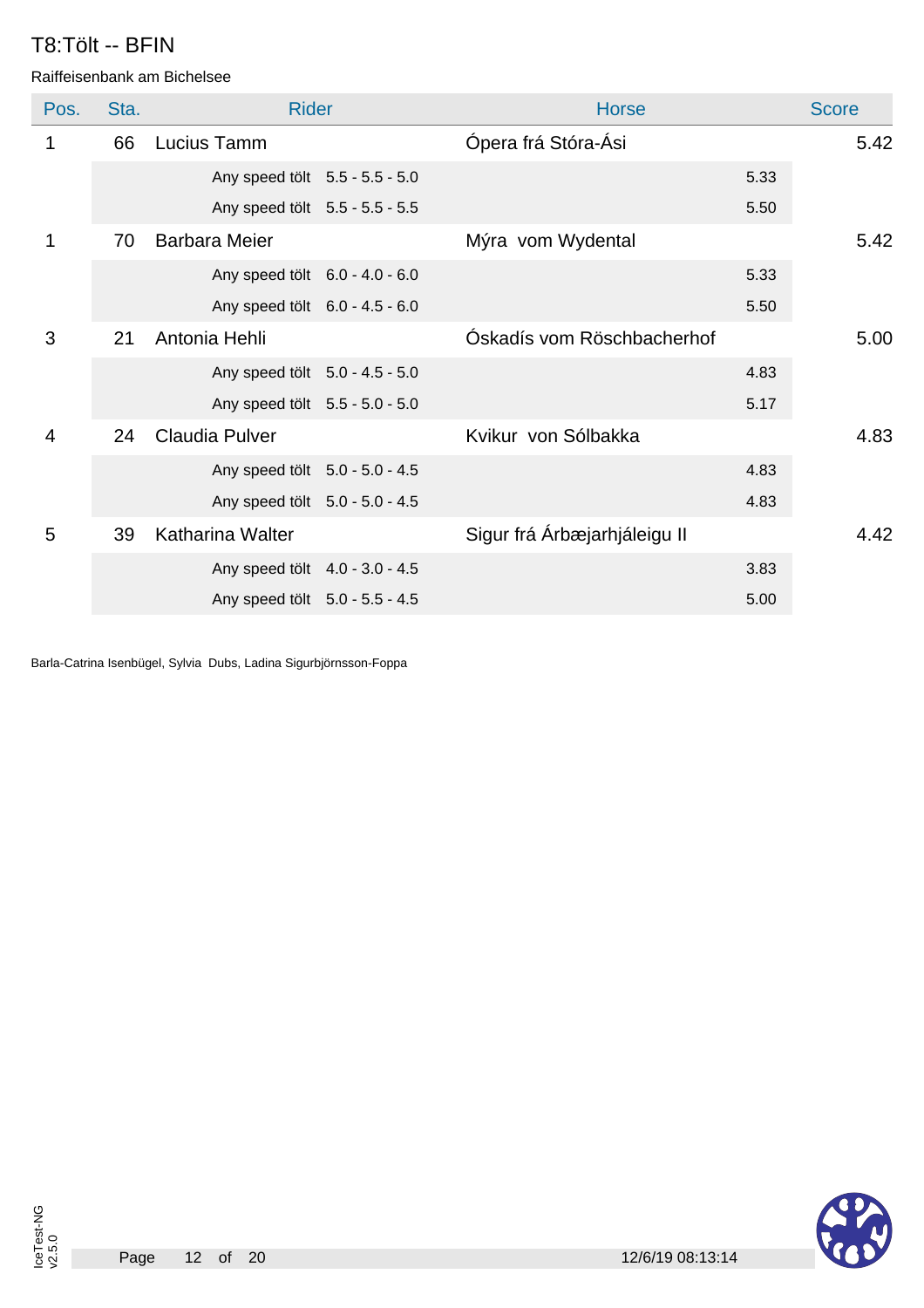### T8:Tölt -- BFIN

Raiffeisenbank am Bichelsee

| Pos. | Sta. | <b>Rider</b>                   | <b>Horse</b>                 |      | <b>Score</b> |
|------|------|--------------------------------|------------------------------|------|--------------|
| 1    | 66   | Lucius Tamm                    | Ópera frá Stóra-Ási          |      | 5.42         |
|      |      | Any speed tölt 5.5 - 5.5 - 5.0 |                              | 5.33 |              |
|      |      | Any speed tölt 5.5 - 5.5 - 5.5 |                              | 5.50 |              |
| 1    | 70   | <b>Barbara Meier</b>           | Mýra vom Wydental            |      | 5.42         |
|      |      | Any speed tölt 6.0 - 4.0 - 6.0 |                              | 5.33 |              |
|      |      | Any speed tölt 6.0 - 4.5 - 6.0 |                              | 5.50 |              |
| 3    | 21   | Antonia Hehli                  | Óskadís vom Röschbacherhof   |      | 5.00         |
|      |      | Any speed tölt 5.0 - 4.5 - 5.0 |                              | 4.83 |              |
|      |      | Any speed tölt 5.5 - 5.0 - 5.0 |                              | 5.17 |              |
| 4    | 24   | Claudia Pulver                 | Kvikur von Sólbakka          |      | 4.83         |
|      |      | Any speed tölt 5.0 - 5.0 - 4.5 |                              | 4.83 |              |
|      |      | Any speed tölt 5.0 - 5.0 - 4.5 |                              | 4.83 |              |
| 5    | 39   | Katharina Walter               | Sigur frá Árbæjarhjáleigu II |      | 4.42         |
|      |      | Any speed tölt 4.0 - 3.0 - 4.5 |                              | 3.83 |              |
|      |      | Any speed tölt 5.0 - 5.5 - 4.5 |                              | 5.00 |              |

Barla-Catrina Isenbügel, Sylvia Dubs, Ladina Sigurbjörnsson-Foppa

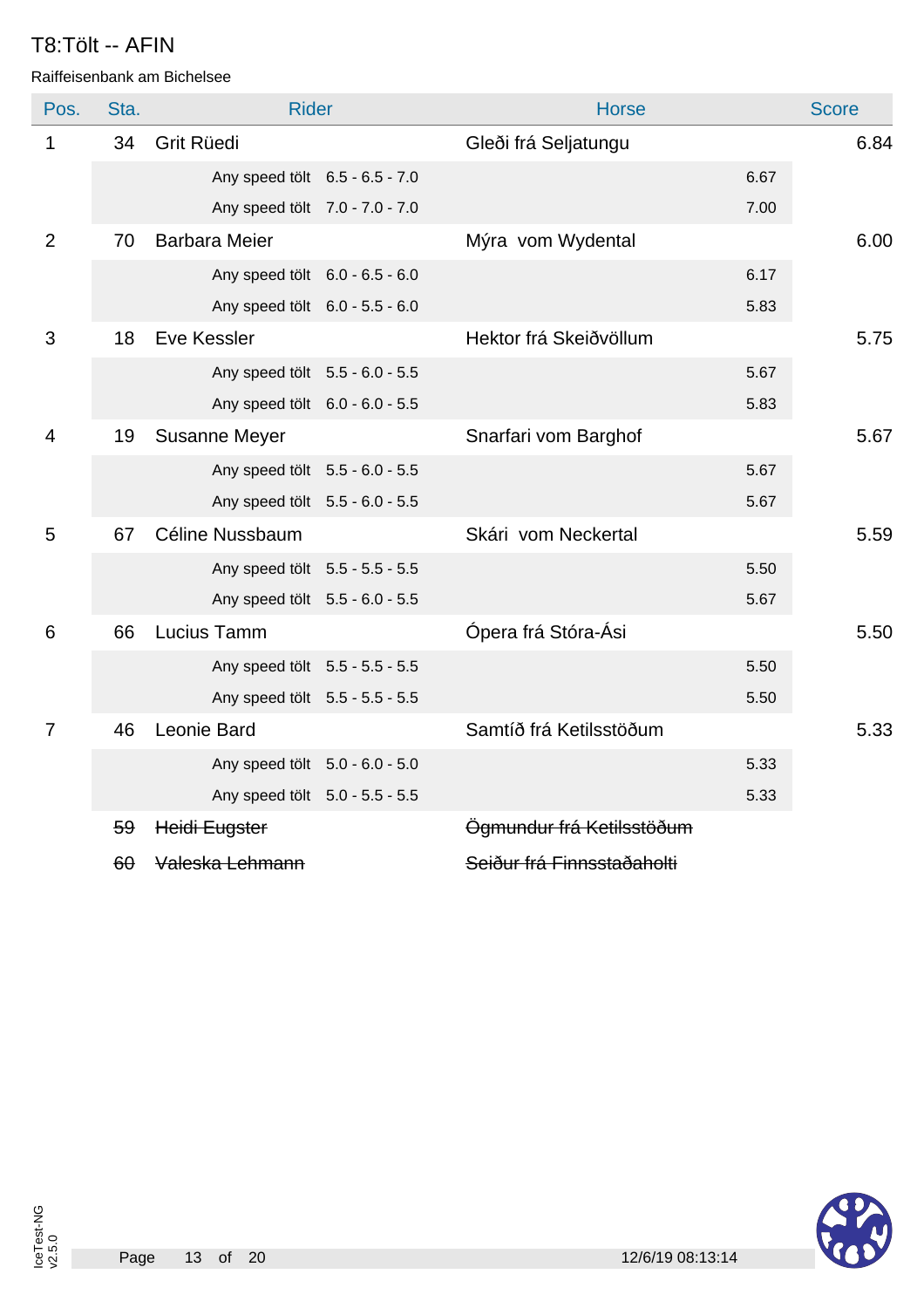### T8:Tölt -- AFIN

ı

Raiffeisenbank am Bichelsee

| Pos.           | Sta. | <b>Rider</b>                   | <b>Horse</b>               |      | <b>Score</b> |
|----------------|------|--------------------------------|----------------------------|------|--------------|
| 1              | 34   | <b>Grit Rüedi</b>              | Gleði frá Seljatungu       |      | 6.84         |
|                |      | Any speed tölt 6.5 - 6.5 - 7.0 |                            | 6.67 |              |
|                |      | Any speed tölt 7.0 - 7.0 - 7.0 |                            | 7.00 |              |
| $\overline{2}$ | 70   | <b>Barbara Meier</b>           | Mýra vom Wydental          |      | 6.00         |
|                |      | Any speed tölt 6.0 - 6.5 - 6.0 |                            | 6.17 |              |
|                |      | Any speed tölt 6.0 - 5.5 - 6.0 |                            | 5.83 |              |
| 3              | 18   | Eve Kessler                    | Hektor frá Skeiðvöllum     |      | 5.75         |
|                |      | Any speed tölt 5.5 - 6.0 - 5.5 |                            | 5.67 |              |
|                |      | Any speed tölt 6.0 - 6.0 - 5.5 |                            | 5.83 |              |
| $\overline{4}$ | 19   | <b>Susanne Meyer</b>           | Snarfari vom Barghof       |      | 5.67         |
|                |      | Any speed tölt 5.5 - 6.0 - 5.5 |                            | 5.67 |              |
|                |      | Any speed tölt 5.5 - 6.0 - 5.5 |                            | 5.67 |              |
| 5              | 67   | Céline Nussbaum                | Skári vom Neckertal        |      | 5.59         |
|                |      | Any speed tölt 5.5 - 5.5 - 5.5 |                            | 5.50 |              |
|                |      | Any speed tölt 5.5 - 6.0 - 5.5 |                            | 5.67 |              |
| 6              | 66   | Lucius Tamm                    | Ópera frá Stóra-Ási        |      | 5.50         |
|                |      | Any speed tölt 5.5 - 5.5 - 5.5 |                            | 5.50 |              |
|                |      | Any speed tölt 5.5 - 5.5 - 5.5 |                            | 5.50 |              |
| $\overline{7}$ | 46   | Leonie Bard                    | Samtíð frá Ketilsstöðum    |      | 5.33         |
|                |      | Any speed tölt 5.0 - 6.0 - 5.0 |                            | 5.33 |              |
|                |      | Any speed tölt 5.0 - 5.5 - 5.5 |                            | 5.33 |              |
|                | 59   | Heidi Eugster                  | Ögmundur frá Ketilsstöðum  |      |              |
|                | 60   | Valeska Lehmann                | Seiður frá Finnsstaðaholti |      |              |

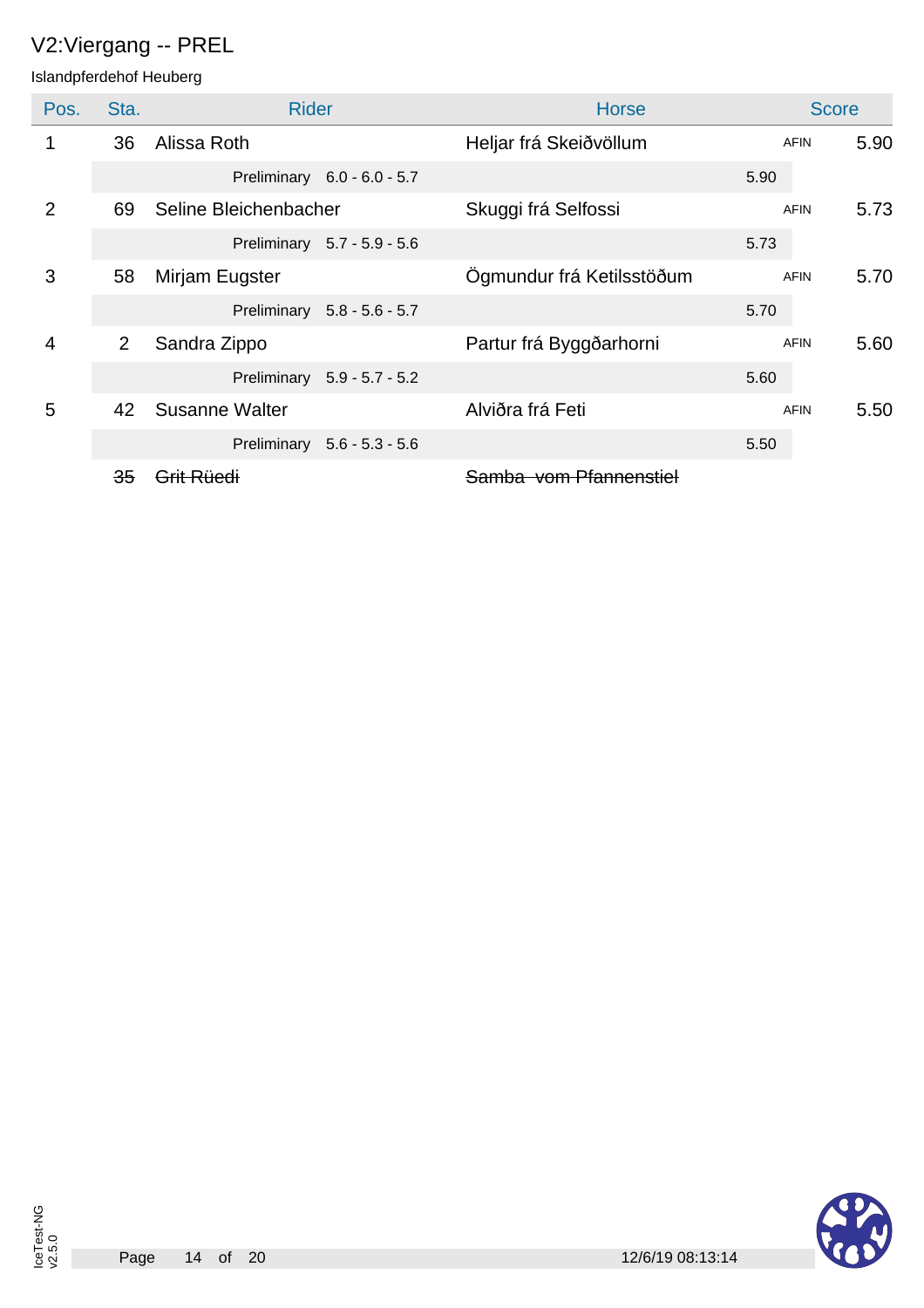## V2:Viergang -- PREL

Islandpferdehof Heuberg

| Pos.           | Sta.           | <b>Rider</b>                     | <b>Horse</b>                         | <b>Score</b> |      |
|----------------|----------------|----------------------------------|--------------------------------------|--------------|------|
|                | 36             | Alissa Roth                      | Heljar frá Skeiðvöllum               | <b>AFIN</b>  | 5.90 |
|                |                | Preliminary 6.0 - 6.0 - 5.7      |                                      | 5.90         |      |
| 2              | 69             | Seline Bleichenbacher            | Skuggi frá Selfossi                  | <b>AFIN</b>  | 5.73 |
|                |                | Preliminary 5.7 - 5.9 - 5.6      |                                      | 5.73         |      |
| 3              | 58             | Mirjam Eugster                   | Ögmundur frá Ketilsstöðum            | <b>AFIN</b>  | 5.70 |
|                |                | Preliminary 5.8 - 5.6 - 5.7      |                                      | 5.70         |      |
| $\overline{4}$ | $\overline{2}$ | Sandra Zippo                     | Partur frá Byggðarhorni              | <b>AFIN</b>  | 5.60 |
|                |                | Preliminary 5.9 - 5.7 - 5.2      |                                      | 5.60         |      |
| 5              | 42             | Susanne Walter                   | Alviðra frá Feti                     | <b>AFIN</b>  | 5.50 |
|                |                | $5.6 - 5.3 - 5.6$<br>Preliminary |                                      | 5.50         |      |
|                | 35             |                                  | vom Pfannenstiel<br><del>Samba</del> |              |      |

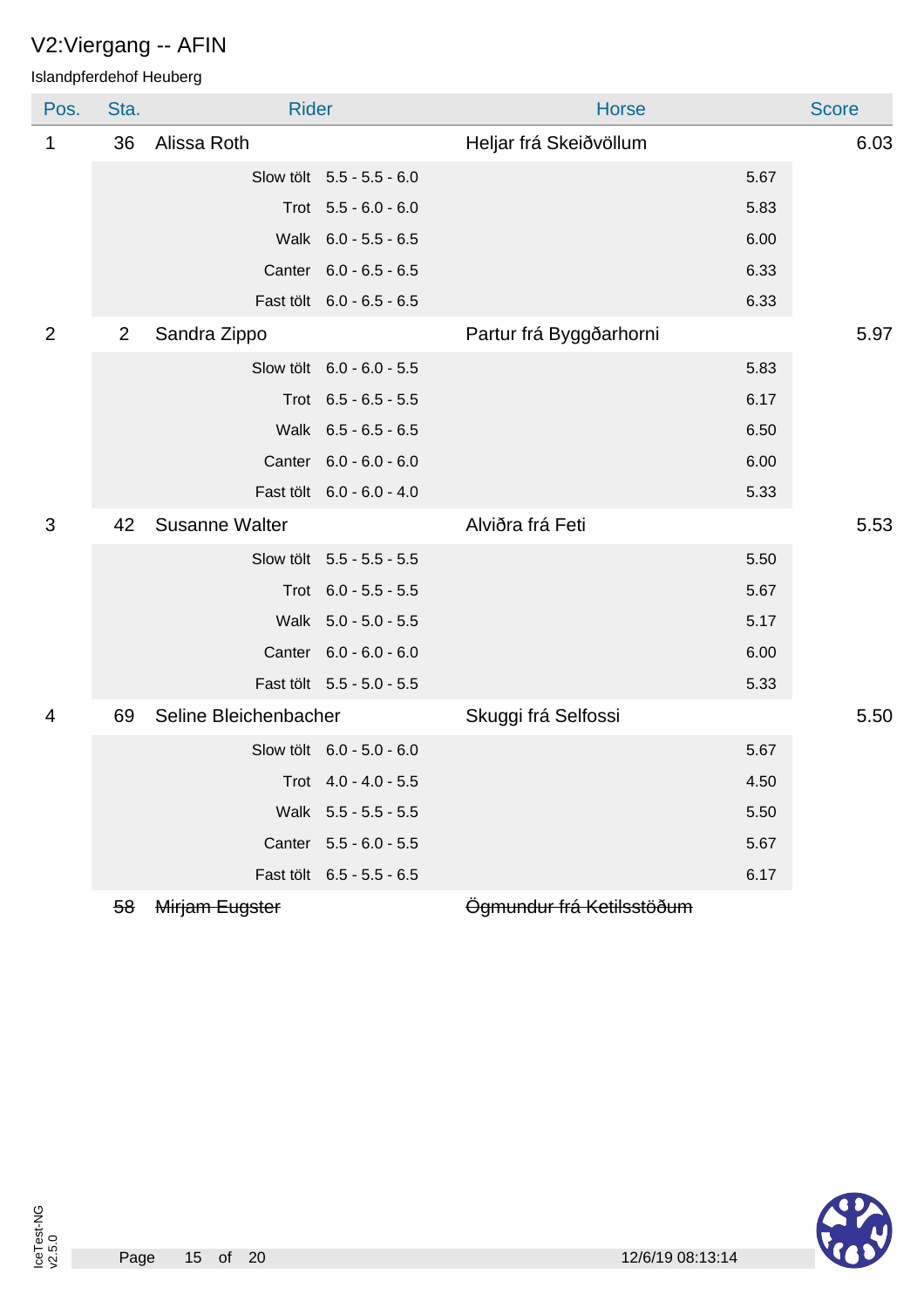## V2:Viergang -- AFIN

Islandpferdehof Heuberg

ı

| Pos.           | Sta.           | <b>Rider</b>          |                           | <b>Horse</b>              |      | <b>Score</b> |
|----------------|----------------|-----------------------|---------------------------|---------------------------|------|--------------|
| 1              | 36             | Alissa Roth           |                           | Heljar frá Skeiðvöllum    |      | 6.03         |
|                |                |                       | Slow tölt 5.5 - 5.5 - 6.0 |                           | 5.67 |              |
|                |                |                       | Trot $5.5 - 6.0 - 6.0$    |                           | 5.83 |              |
|                |                |                       | Walk 6.0 - 5.5 - 6.5      |                           | 6.00 |              |
|                |                |                       | Canter 6.0 - 6.5 - 6.5    |                           | 6.33 |              |
|                |                |                       | Fast tölt 6.0 - 6.5 - 6.5 |                           | 6.33 |              |
| $\overline{2}$ | $\overline{2}$ | Sandra Zippo          |                           | Partur frá Byggðarhorni   |      | 5.97         |
|                |                |                       | Slow tölt 6.0 - 6.0 - 5.5 |                           | 5.83 |              |
|                |                |                       | Trot 6.5 - 6.5 - 5.5      |                           | 6.17 |              |
|                |                |                       | Walk 6.5 - 6.5 - 6.5      |                           | 6.50 |              |
|                |                |                       | Canter 6.0 - 6.0 - 6.0    |                           | 6.00 |              |
|                |                |                       | Fast tölt 6.0 - 6.0 - 4.0 |                           | 5.33 |              |
| 3              | 42             | <b>Susanne Walter</b> |                           | Alviðra frá Feti          |      | 5.53         |
|                |                |                       | Slow tölt 5.5 - 5.5 - 5.5 |                           | 5.50 |              |
|                |                |                       | Trot 6.0 - 5.5 - 5.5      |                           | 5.67 |              |
|                |                |                       | Walk 5.0 - 5.0 - 5.5      |                           | 5.17 |              |
|                |                |                       | Canter 6.0 - 6.0 - 6.0    |                           | 6.00 |              |
|                |                |                       | Fast tölt 5.5 - 5.0 - 5.5 |                           | 5.33 |              |
| 4              | 69             | Seline Bleichenbacher |                           | Skuggi frá Selfossi       |      | 5.50         |
|                |                |                       | Slow tölt 6.0 - 5.0 - 6.0 |                           | 5.67 |              |
|                |                |                       | Trot 4.0 - 4.0 - 5.5      |                           | 4.50 |              |
|                |                |                       | Walk 5.5 - 5.5 - 5.5      |                           | 5.50 |              |
|                |                |                       | Canter 5.5 - 6.0 - 5.5    |                           | 5.67 |              |
|                |                |                       | Fast tölt 6.5 - 5.5 - 6.5 |                           | 6.17 |              |
|                | <del>58</del>  | Mirjam Eugster        |                           | Ögmundur frá Ketilsstöðum |      |              |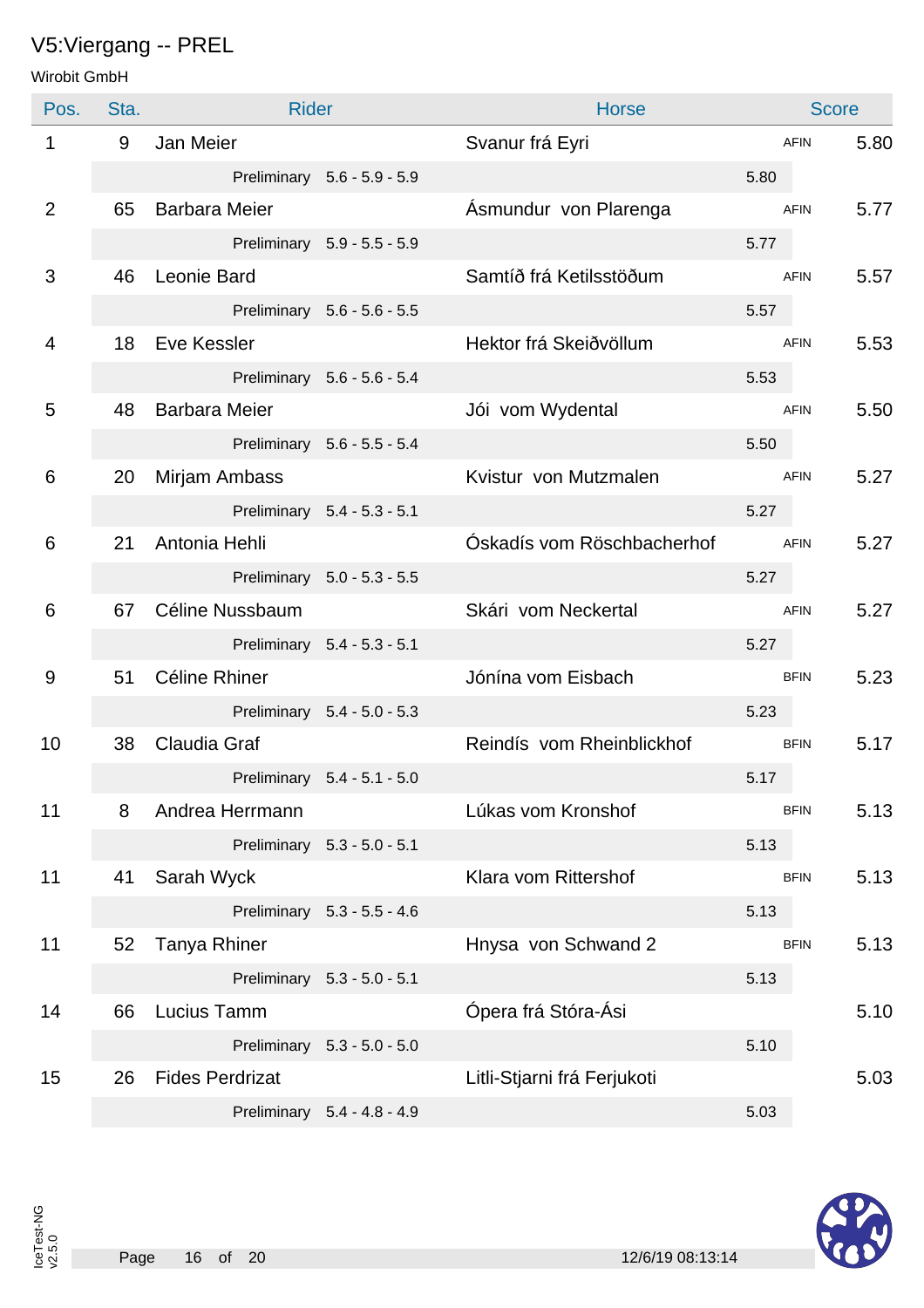# V5:Viergang -- PREL

Wirobit GmbH

| Pos.           | Sta. | <b>Rider</b>           |                             | <b>Horse</b>                |             | <b>Score</b> |
|----------------|------|------------------------|-----------------------------|-----------------------------|-------------|--------------|
| 1              | 9    | Jan Meier              |                             | Svanur frá Eyri             | <b>AFIN</b> | 5.80         |
|                |      |                        | Preliminary 5.6 - 5.9 - 5.9 |                             | 5.80        |              |
| $\overline{2}$ | 65   | <b>Barbara Meier</b>   |                             | Asmundur von Plarenga       | <b>AFIN</b> | 5.77         |
|                |      |                        | Preliminary 5.9 - 5.5 - 5.9 |                             | 5.77        |              |
| 3              | 46   | Leonie Bard            |                             | Samtíð frá Ketilsstöðum     | <b>AFIN</b> | 5.57         |
|                |      |                        | Preliminary 5.6 - 5.6 - 5.5 |                             | 5.57        |              |
| 4              | 18   | Eve Kessler            |                             | Hektor frá Skeiðvöllum      | <b>AFIN</b> | 5.53         |
|                |      |                        | Preliminary 5.6 - 5.6 - 5.4 |                             | 5.53        |              |
| 5              | 48   | <b>Barbara Meier</b>   |                             | Jói vom Wydental            | <b>AFIN</b> | 5.50         |
|                |      |                        | Preliminary 5.6 - 5.5 - 5.4 |                             | 5.50        |              |
| 6              | 20   | Mirjam Ambass          |                             | Kvistur von Mutzmalen       | <b>AFIN</b> | 5.27         |
|                |      |                        | Preliminary 5.4 - 5.3 - 5.1 |                             | 5.27        |              |
| 6              | 21   | Antonia Hehli          |                             | Óskadís vom Röschbacherhof  | <b>AFIN</b> | 5.27         |
|                |      |                        | Preliminary 5.0 - 5.3 - 5.5 |                             | 5.27        |              |
| 6              | 67   | Céline Nussbaum        |                             | Skári vom Neckertal         | <b>AFIN</b> | 5.27         |
|                |      |                        | Preliminary 5.4 - 5.3 - 5.1 |                             | 5.27        |              |
| 9              | 51   | Céline Rhiner          |                             | Jónína vom Eisbach          | <b>BFIN</b> | 5.23         |
|                |      |                        | Preliminary 5.4 - 5.0 - 5.3 |                             | 5.23        |              |
| 10             | 38   | Claudia Graf           |                             | Reindís vom Rheinblickhof   | <b>BFIN</b> | 5.17         |
|                |      |                        | Preliminary 5.4 - 5.1 - 5.0 |                             | 5.17        |              |
| 11             | 8    | Andrea Herrmann        |                             | Lúkas vom Kronshof          | <b>BFIN</b> | 5.13         |
|                |      |                        | Preliminary 5.3 - 5.0 - 5.1 |                             | 5.13        |              |
| 11             | 41   | Sarah Wyck             |                             | Klara vom Rittershof        | <b>BFIN</b> | 5.13         |
|                |      |                        | Preliminary 5.3 - 5.5 - 4.6 |                             | 5.13        |              |
| 11             | 52   | <b>Tanya Rhiner</b>    |                             | Hnysa von Schwand 2         | <b>BFIN</b> | 5.13         |
|                |      |                        | Preliminary 5.3 - 5.0 - 5.1 |                             | 5.13        |              |
| 14             | 66   | Lucius Tamm            |                             | Ópera frá Stóra-Ási         |             | 5.10         |
|                |      |                        | Preliminary 5.3 - 5.0 - 5.0 |                             | 5.10        |              |
| 15             | 26   | <b>Fides Perdrizat</b> |                             | Litli-Stjarni frá Ferjukoti |             | 5.03         |
|                |      |                        | Preliminary 5.4 - 4.8 - 4.9 |                             | 5.03        |              |

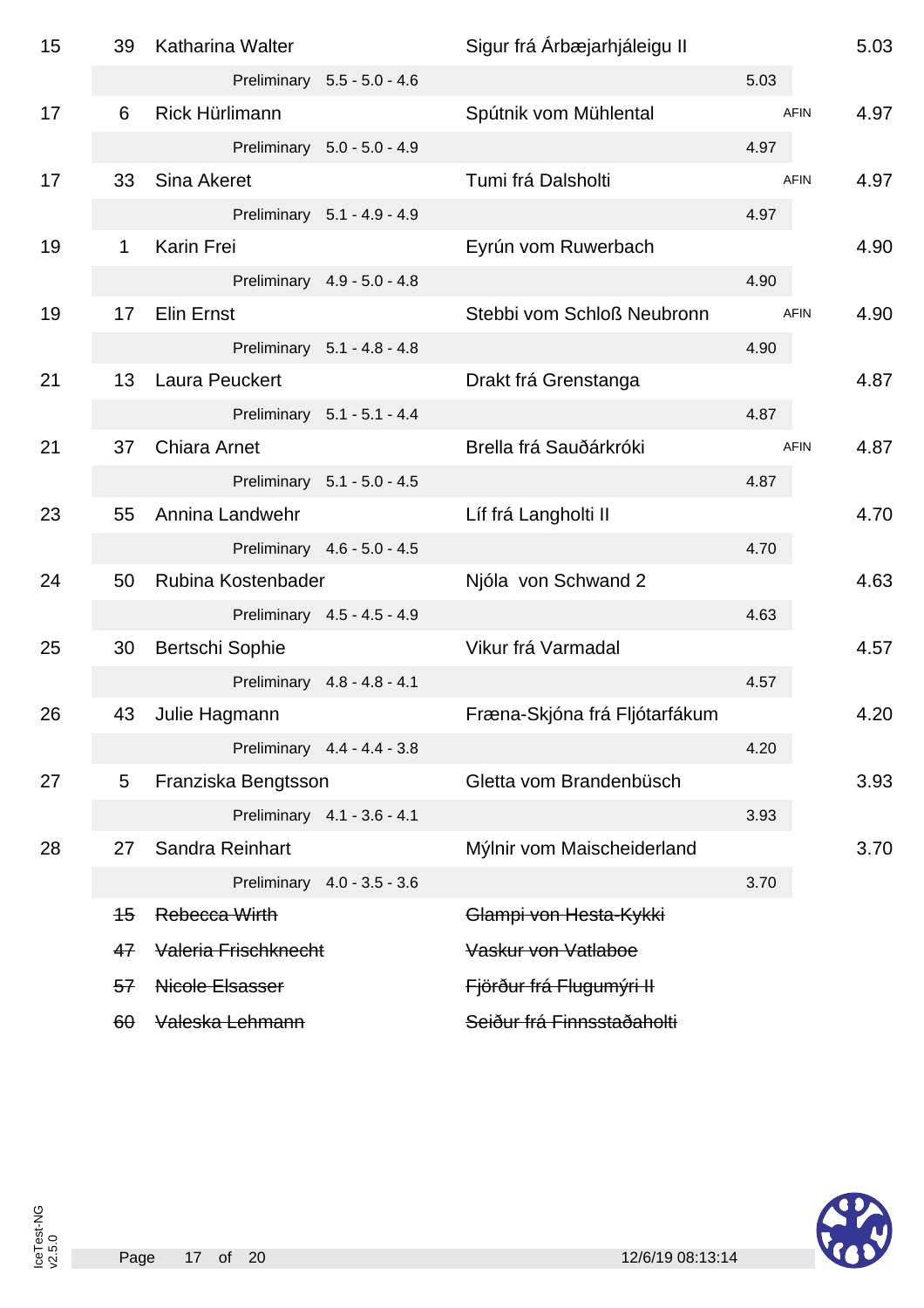| 15 | 39          | <b>Katharina Walter</b>     | Sigur frá Árbæjarhjáleigu II        |             | 5.03 |
|----|-------------|-----------------------------|-------------------------------------|-------------|------|
|    |             | Preliminary 5.5 - 5.0 - 4.6 |                                     | 5.03        |      |
| 17 | 6           | Rick Hürlimann              | Spútnik vom Mühlental               | <b>AFIN</b> | 4.97 |
|    |             | Preliminary 5.0 - 5.0 - 4.9 |                                     | 4.97        |      |
| 17 | 33          | Sina Akeret                 | Tumi frá Dalsholti                  | <b>AFIN</b> | 4.97 |
|    |             | Preliminary 5.1 - 4.9 - 4.9 |                                     | 4.97        |      |
| 19 | $\mathbf 1$ | <b>Karin Frei</b>           | Eyrún vom Ruwerbach                 |             | 4.90 |
|    |             | Preliminary 4.9 - 5.0 - 4.8 |                                     | 4.90        |      |
| 19 | 17          | <b>Elin Ernst</b>           | Stebbi vom Schloß Neubronn          | <b>AFIN</b> | 4.90 |
|    |             | Preliminary 5.1 - 4.8 - 4.8 |                                     | 4.90        |      |
| 21 | 13          | Laura Peuckert              | Drakt frá Grenstanga                |             | 4.87 |
|    |             | Preliminary 5.1 - 5.1 - 4.4 |                                     | 4.87        |      |
| 21 | 37          | <b>Chiara Arnet</b>         | Brella frá Sauðárkróki              | <b>AFIN</b> | 4.87 |
|    |             | Preliminary 5.1 - 5.0 - 4.5 |                                     | 4.87        |      |
| 23 | 55          | Annina Landwehr             | Líf frá Langholti II                |             | 4.70 |
|    |             | Preliminary 4.6 - 5.0 - 4.5 |                                     | 4.70        |      |
| 24 | 50          | Rubina Kostenbader          | Njóla von Schwand 2                 |             | 4.63 |
|    |             | Preliminary 4.5 - 4.5 - 4.9 |                                     | 4.63        |      |
| 25 | 30          | <b>Bertschi Sophie</b>      | Vikur frá Varmadal                  |             | 4.57 |
|    |             | Preliminary 4.8 - 4.8 - 4.1 |                                     | 4.57        |      |
| 26 | 43          | Julie Hagmann               | Fræna-Skjóna frá Fljótarfákum       |             | 4.20 |
|    |             | Preliminary 4.4 - 4.4 - 3.8 |                                     | 4.20        |      |
| 27 | 5           | Franziska Bengtsson         | Gletta vom Brandenbüsch             |             | 3.93 |
|    |             | Preliminary 4.1 - 3.6 - 4.1 |                                     | 3.93        |      |
| 28 | 27          | Sandra Reinhart             | Mýlnir vom Maischeiderland          |             | 3.70 |
|    |             | Preliminary 4.0 - 3.5 - 3.6 |                                     | 3.70        |      |
|    | 45          | Rebecca Wirth               | Glampi von Hesta-Kykki              |             |      |
|    | 47          | Valeria Frischknecht        | Vaskur von Vatlaboe                 |             |      |
|    | 57          | Nicole Elsasser             | <del>Fjörður frá Flugumýri II</del> |             |      |
|    | 60          | Valeska Lehmann             | Seiður frá Finnsstaðaholti          |             |      |

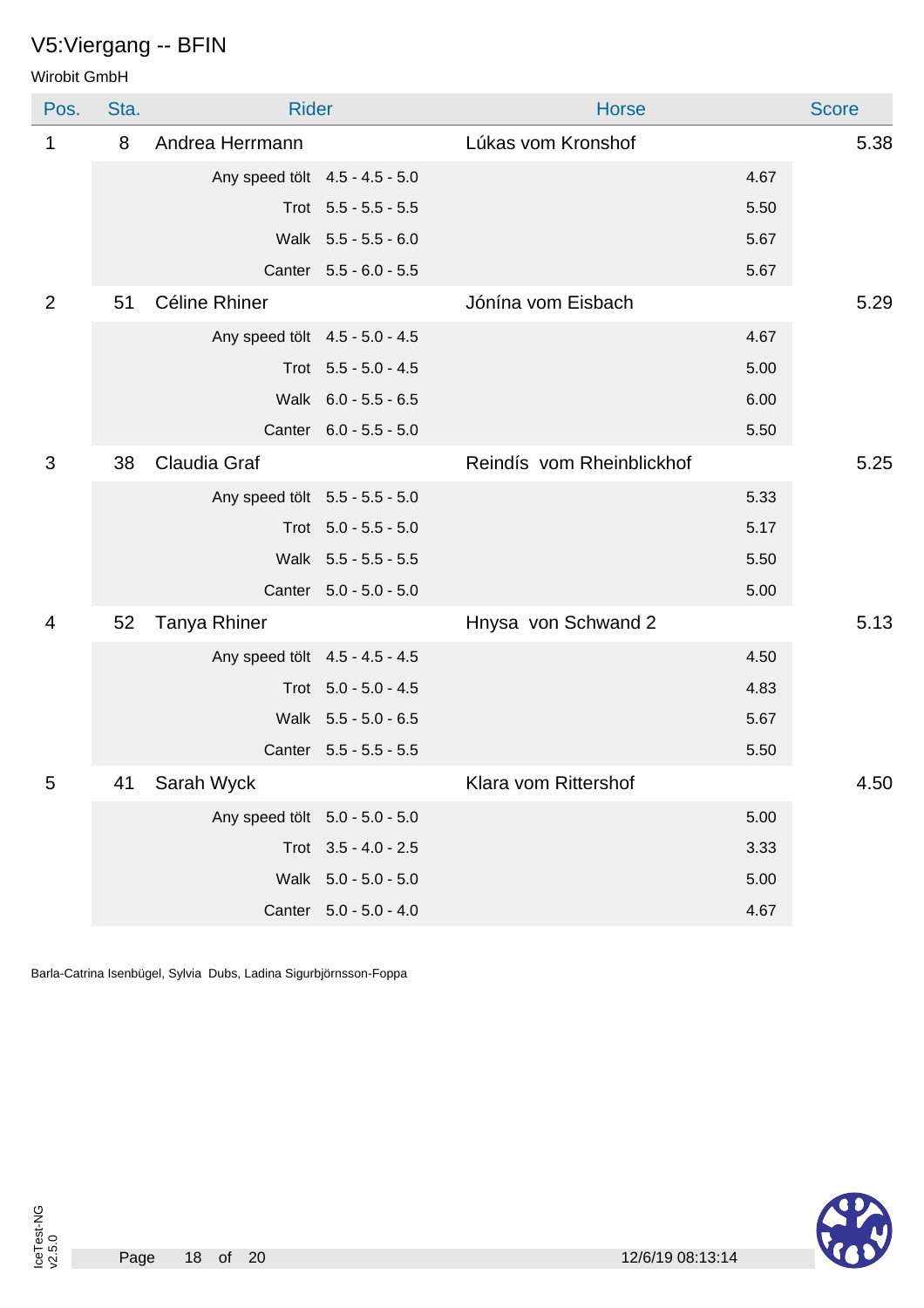## V5:Viergang -- BFIN

Wirobit GmbH

| Pos.           | Sta. | <b>Rider</b>                   |                        | <b>Horse</b>              |      | <b>Score</b> |
|----------------|------|--------------------------------|------------------------|---------------------------|------|--------------|
| 1              | 8    | Andrea Herrmann                |                        | Lúkas vom Kronshof        |      | 5.38         |
|                |      | Any speed tölt 4.5 - 4.5 - 5.0 |                        |                           | 4.67 |              |
|                |      |                                | Trot $5.5 - 5.5 - 5.5$ |                           | 5.50 |              |
|                |      |                                | Walk 5.5 - 5.5 - 6.0   |                           | 5.67 |              |
|                |      |                                | Canter 5.5 - 6.0 - 5.5 |                           | 5.67 |              |
| $\overline{2}$ | 51   | Céline Rhiner                  |                        | Jónína vom Eisbach        |      | 5.29         |
|                |      | Any speed tölt 4.5 - 5.0 - 4.5 |                        |                           | 4.67 |              |
|                |      |                                | Trot 5.5 - 5.0 - 4.5   |                           | 5.00 |              |
|                |      |                                | Walk 6.0 - 5.5 - 6.5   |                           | 6.00 |              |
|                |      |                                | Canter 6.0 - 5.5 - 5.0 |                           | 5.50 |              |
| 3              | 38   | Claudia Graf                   |                        | Reindís vom Rheinblickhof |      | 5.25         |
|                |      | Any speed tölt 5.5 - 5.5 - 5.0 |                        |                           | 5.33 |              |
|                |      |                                | Trot 5.0 - 5.5 - 5.0   |                           | 5.17 |              |
|                |      |                                | Walk 5.5 - 5.5 - 5.5   |                           | 5.50 |              |
|                |      |                                | Canter 5.0 - 5.0 - 5.0 |                           | 5.00 |              |
| 4              | 52   | <b>Tanya Rhiner</b>            |                        | Hnysa von Schwand 2       |      | 5.13         |
|                |      | Any speed tölt 4.5 - 4.5 - 4.5 |                        |                           | 4.50 |              |
|                |      |                                | Trot 5.0 - 5.0 - 4.5   |                           | 4.83 |              |
|                |      |                                | Walk 5.5 - 5.0 - 6.5   |                           | 5.67 |              |
|                |      |                                | Canter 5.5 - 5.5 - 5.5 |                           | 5.50 |              |
| 5              |      | 41 Sarah Wyck                  |                        | Klara vom Rittershof      |      | 4.50         |
|                |      | Any speed tölt 5.0 - 5.0 - 5.0 |                        |                           | 5.00 |              |
|                |      |                                | Trot 3.5 - 4.0 - 2.5   |                           | 3.33 |              |
|                |      |                                | Walk 5.0 - 5.0 - 5.0   |                           | 5.00 |              |
|                |      |                                | Canter 5.0 - 5.0 - 4.0 |                           | 4.67 |              |

Barla-Catrina Isenbügel, Sylvia Dubs, Ladina Sigurbjörnsson-Foppa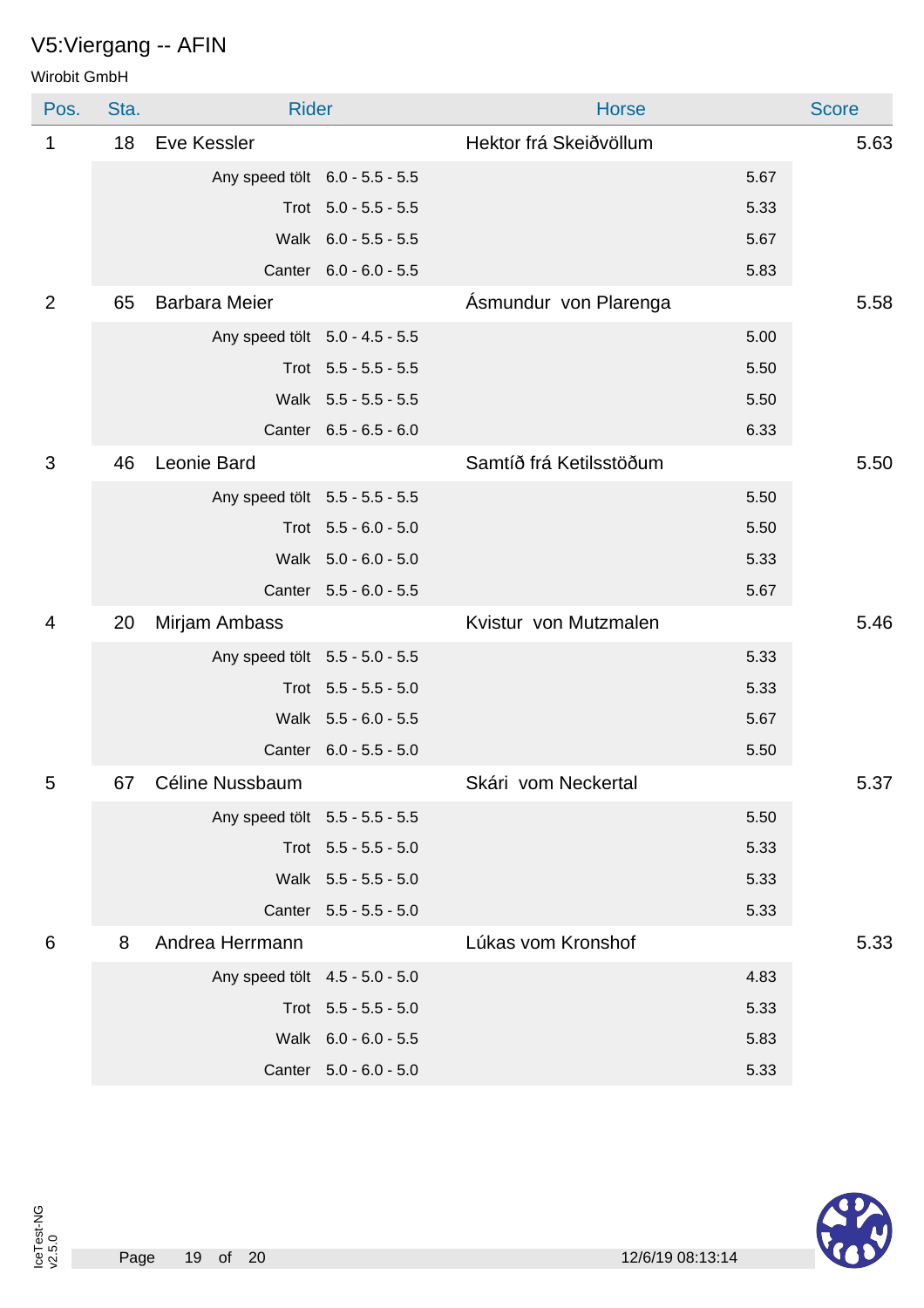## V5:Viergang -- AFIN

Wirobit GmbH

| Pos.           | Sta. | <b>Rider</b>                   |                        | <b>Horse</b>            |      | <b>Score</b> |
|----------------|------|--------------------------------|------------------------|-------------------------|------|--------------|
| 1              | 18   | Eve Kessler                    |                        | Hektor frá Skeiðvöllum  |      | 5.63         |
|                |      | Any speed tölt 6.0 - 5.5 - 5.5 |                        |                         | 5.67 |              |
|                |      |                                | Trot 5.0 - 5.5 - 5.5   |                         | 5.33 |              |
|                |      |                                | Walk 6.0 - 5.5 - 5.5   |                         | 5.67 |              |
|                |      |                                | Canter 6.0 - 6.0 - 5.5 |                         | 5.83 |              |
| $\overline{2}$ | 65   | <b>Barbara Meier</b>           |                        | Ásmundur von Plarenga   |      | 5.58         |
|                |      | Any speed tölt 5.0 - 4.5 - 5.5 |                        |                         | 5.00 |              |
|                |      |                                | Trot 5.5 - 5.5 - 5.5   |                         | 5.50 |              |
|                |      |                                | Walk 5.5 - 5.5 - 5.5   |                         | 5.50 |              |
|                |      |                                | Canter 6.5 - 6.5 - 6.0 |                         | 6.33 |              |
| 3              | 46   | Leonie Bard                    |                        | Samtíð frá Ketilsstöðum |      | 5.50         |
|                |      | Any speed tölt 5.5 - 5.5 - 5.5 |                        |                         | 5.50 |              |
|                |      |                                | Trot $5.5 - 6.0 - 5.0$ |                         | 5.50 |              |
|                |      |                                | Walk 5.0 - 6.0 - 5.0   |                         | 5.33 |              |
|                |      |                                | Canter 5.5 - 6.0 - 5.5 |                         | 5.67 |              |
| 4              | 20   | Mirjam Ambass                  |                        | Kvistur von Mutzmalen   |      | 5.46         |
|                |      | Any speed tölt 5.5 - 5.0 - 5.5 |                        |                         | 5.33 |              |
|                |      |                                | Trot $5.5 - 5.5 - 5.0$ |                         | 5.33 |              |
|                |      |                                | Walk 5.5 - 6.0 - 5.5   |                         | 5.67 |              |
|                |      |                                | Canter 6.0 - 5.5 - 5.0 |                         | 5.50 |              |
| 5              | 67   | Céline Nussbaum                |                        | Skári vom Neckertal     |      | 5.37         |
|                |      | Any speed tölt 5.5 - 5.5 - 5.5 |                        |                         | 5.50 |              |
|                |      |                                | Trot 5.5 - 5.5 - 5.0   |                         | 5.33 |              |
|                |      |                                | Walk 5.5 - 5.5 - 5.0   |                         | 5.33 |              |
|                |      |                                | Canter 5.5 - 5.5 - 5.0 |                         | 5.33 |              |
| 6              | 8    | Andrea Herrmann                |                        | Lúkas vom Kronshof      |      | 5.33         |
|                |      | Any speed tölt 4.5 - 5.0 - 5.0 |                        |                         | 4.83 |              |
|                |      |                                | Trot 5.5 - 5.5 - 5.0   |                         | 5.33 |              |
|                |      |                                | Walk 6.0 - 6.0 - 5.5   |                         | 5.83 |              |
|                |      | Canter                         | $5.0 - 6.0 - 5.0$      |                         | 5.33 |              |